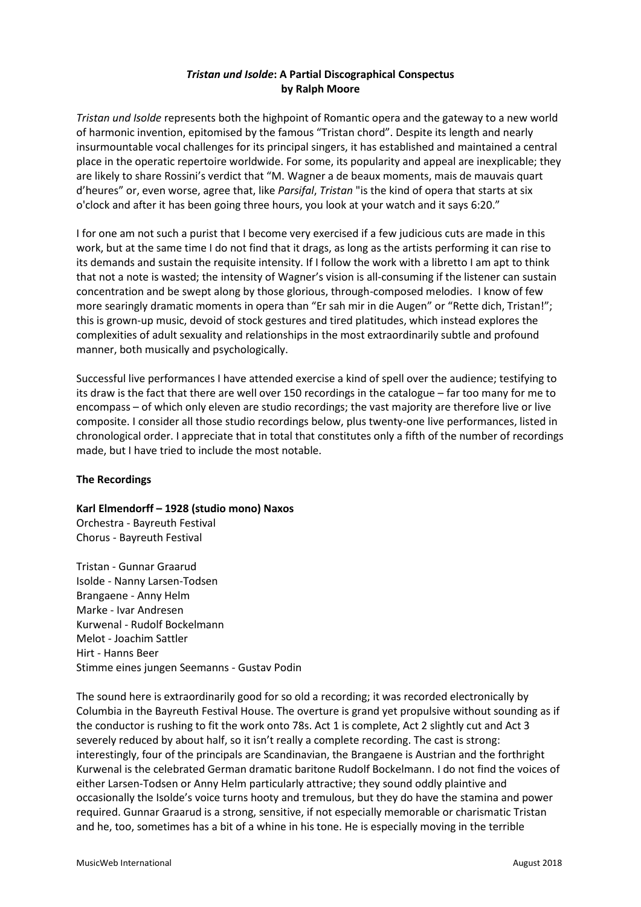# *Tristan und Isolde***: A Partial Discographical Conspectus by Ralph Moore**

*Tristan und Isolde* represents both the highpoint of Romantic opera and the gateway to a new world of harmonic invention, epitomised by the famous "Tristan chord". Despite its length and nearly insurmountable vocal challenges for its principal singers, it has established and maintained a central place in the operatic repertoire worldwide. For some, its popularity and appeal are inexplicable; they are likely to share Rossini's verdict that "M. Wagner a de beaux moments, mais de mauvais quart d'heures" or, even worse, agree that, like *Parsifal*, *Tristan* "is the kind of opera that starts at six o'clock and after it has been going three hours, you look at your watch and it says 6:20."

I for one am not such a purist that I become very exercised if a few judicious cuts are made in this work, but at the same time I do not find that it drags, as long as the artists performing it can rise to its demands and sustain the requisite intensity. If I follow the work with a libretto I am apt to think that not a note is wasted; the intensity of Wagner's vision is all-consuming if the listener can sustain concentration and be swept along by those glorious, through-composed melodies. I know of few more searingly dramatic moments in opera than "Er sah mir in die Augen" or "Rette dich, Tristan!"; this is grown-up music, devoid of stock gestures and tired platitudes, which instead explores the complexities of adult sexuality and relationships in the most extraordinarily subtle and profound manner, both musically and psychologically.

Successful live performances I have attended exercise a kind of spell over the audience; testifying to its draw is the fact that there are well over 150 recordings in the catalogue – far too many for me to encompass – of which only eleven are studio recordings; the vast majority are therefore live or live composite. I consider all those studio recordings below, plus twenty-one live performances, listed in chronological order. I appreciate that in total that constitutes only a fifth of the number of recordings made, but I have tried to include the most notable.

## **The Recordings**

**Karl Elmendorff – 1928 (studio mono) Naxos**  Orchestra - Bayreuth Festival Chorus - Bayreuth Festival

Tristan - Gunnar Graarud Isolde - Nanny Larsen-Todsen Brangaene - Anny Helm Marke - Ivar Andresen Kurwenal - Rudolf Bockelmann Melot - Joachim Sattler Hirt - Hanns Beer Stimme eines jungen Seemanns - Gustav Podin

The sound here is extraordinarily good for so old a recording; it was recorded electronically by Columbia in the Bayreuth Festival House. The overture is grand yet propulsive without sounding as if the conductor is rushing to fit the work onto 78s. Act 1 is complete, Act 2 slightly cut and Act 3 severely reduced by about half, so it isn't really a complete recording. The cast is strong: interestingly, four of the principals are Scandinavian, the Brangaene is Austrian and the forthright Kurwenal is the celebrated German dramatic baritone Rudolf Bockelmann. I do not find the voices of either Larsen-Todsen or Anny Helm particularly attractive; they sound oddly plaintive and occasionally the Isolde's voice turns hooty and tremulous, but they do have the stamina and power required. Gunnar Graarud is a strong, sensitive, if not especially memorable or charismatic Tristan and he, too, sometimes has a bit of a whine in his tone. He is especially moving in the terrible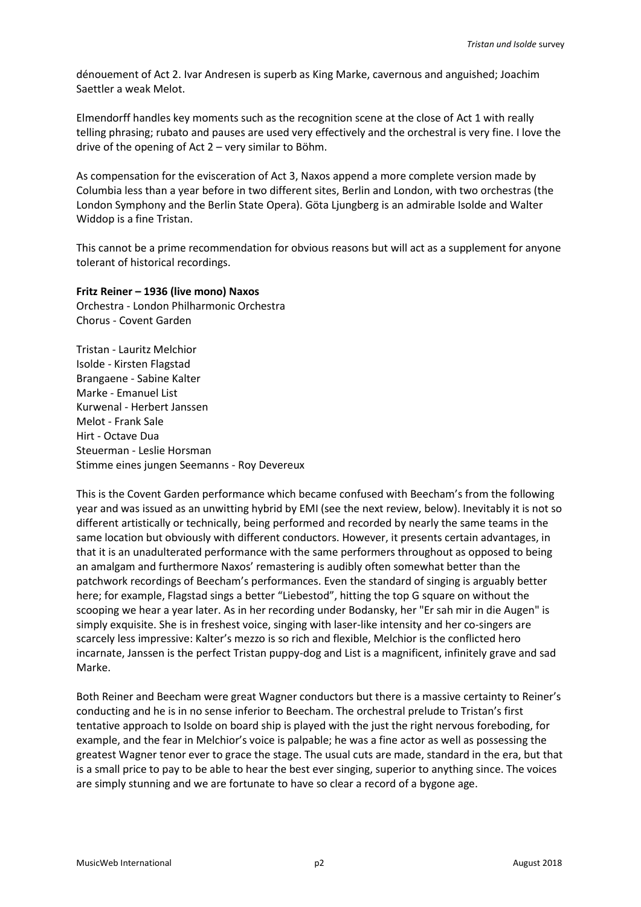dénouement of Act 2. Ivar Andresen is superb as King Marke, cavernous and anguished; Joachim Saettler a weak Melot.

Elmendorff handles key moments such as the recognition scene at the close of Act 1 with really telling phrasing; rubato and pauses are used very effectively and the orchestral is very fine. I love the drive of the opening of Act 2 – very similar to Böhm.

As compensation for the evisceration of Act 3, Naxos append a more complete version made by Columbia less than a year before in two different sites, Berlin and London, with two orchestras (the London Symphony and the Berlin State Opera). Göta Ljungberg is an admirable Isolde and Walter Widdop is a fine Tristan.

This cannot be a prime recommendation for obvious reasons but will act as a supplement for anyone tolerant of historical recordings.

## **Fritz Reiner – 1936 (live mono) Naxos**

Orchestra - London Philharmonic Orchestra Chorus - Covent Garden

Tristan - Lauritz Melchior Isolde - Kirsten Flagstad Brangaene - Sabine Kalter Marke - Emanuel List Kurwenal - Herbert Janssen Melot - Frank Sale Hirt - Octave Dua Steuerman - Leslie Horsman Stimme eines jungen Seemanns - Roy Devereux

This is the Covent Garden performance which became confused with Beecham's from the following year and was issued as an unwitting hybrid by EMI (see the next review, below). Inevitably it is not so different artistically or technically, being performed and recorded by nearly the same teams in the same location but obviously with different conductors. However, it presents certain advantages, in that it is an unadulterated performance with the same performers throughout as opposed to being an amalgam and furthermore Naxos' remastering is audibly often somewhat better than the patchwork recordings of Beecham's performances. Even the standard of singing is arguably better here; for example, Flagstad sings a better "Liebestod", hitting the top G square on without the scooping we hear a year later. As in her recording under Bodansky, her "Er sah mir in die Augen" is simply exquisite. She is in freshest voice, singing with laser-like intensity and her co-singers are scarcely less impressive: Kalter's mezzo is so rich and flexible, Melchior is the conflicted hero incarnate, Janssen is the perfect Tristan puppy-dog and List is a magnificent, infinitely grave and sad Marke.

Both Reiner and Beecham were great Wagner conductors but there is a massive certainty to Reiner's conducting and he is in no sense inferior to Beecham. The orchestral prelude to Tristan's first tentative approach to Isolde on board ship is played with the just the right nervous foreboding, for example, and the fear in Melchior's voice is palpable; he was a fine actor as well as possessing the greatest Wagner tenor ever to grace the stage. The usual cuts are made, standard in the era, but that is a small price to pay to be able to hear the best ever singing, superior to anything since. The voices are simply stunning and we are fortunate to have so clear a record of a bygone age.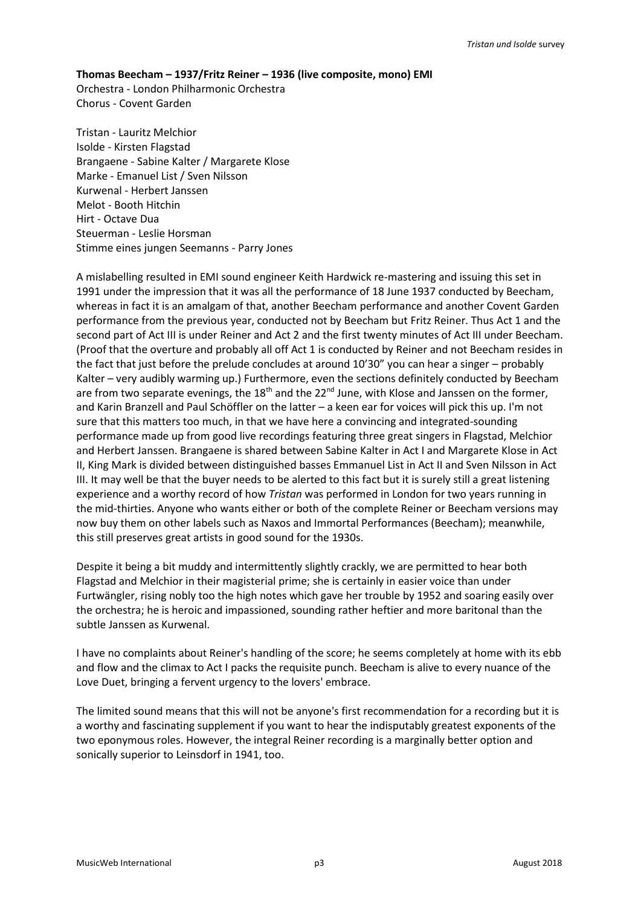### **Thomas Beecham – 1937/Fritz Reiner – 1936 (live composite, mono) EMI**

Orchestra - London Philharmonic Orchestra Chorus - Covent Garden

Tristan - Lauritz Melchior Isolde - Kirsten Flagstad Brangaene - Sabine Kalter / Margarete Klose Marke - Emanuel List / Sven Nilsson Kurwenal - Herbert Janssen Melot - Booth Hitchin Hirt - Octave Dua Steuerman - Leslie Horsman Stimme eines jungen Seemanns - Parry Jones

A mislabelling resulted in EMI sound engineer Keith Hardwick re-mastering and issuing this set in 1991 under the impression that it was all the performance of 18 June 1937 conducted by Beecham, whereas in fact it is an amalgam of that, another Beecham performance and another Covent Garden performance from the previous year, conducted not by Beecham but Fritz Reiner. Thus Act 1 and the second part of Act III is under Reiner and Act 2 and the first twenty minutes of Act III under Beecham. (Proof that the overture and probably all off Act 1 is conducted by Reiner and not Beecham resides in the fact that just before the prelude concludes at around 10'30" you can hear a singer – probably Kalter – very audibly warming up.) Furthermore, even the sections definitely conducted by Beecham are from two separate evenings, the  $18<sup>th</sup>$  and the  $22<sup>nd</sup>$  June, with Klose and Janssen on the former, and Karin Branzell and Paul Schöffler on the latter – a keen ear for voices will pick this up. I'm not sure that this matters too much, in that we have here a convincing and integrated-sounding performance made up from good live recordings featuring three great singers in Flagstad, Melchior and Herbert Janssen. Brangaene is shared between Sabine Kalter in Act I and Margarete Klose in Act II, King Mark is divided between distinguished basses Emmanuel List in Act II and Sven Nilsson in Act III. It may well be that the buyer needs to be alerted to this fact but it is surely still a great listening experience and a worthy record of how *Tristan* was performed in London for two years running in the mid-thirties. Anyone who wants either or both of the complete Reiner or Beecham versions may now buy them on other labels such as Naxos and Immortal Performances (Beecham); meanwhile, this still preserves great artists in good sound for the 1930s.

Despite it being a bit muddy and intermittently slightly crackly, we are permitted to hear both Flagstad and Melchior in their magisterial prime; she is certainly in easier voice than under Furtwängler, rising nobly too the high notes which gave her trouble by 1952 and soaring easily over the orchestra; he is heroic and impassioned, sounding rather heftier and more baritonal than the subtle Janssen as Kurwenal.

I have no complaints about Reiner's handling of the score; he seems completely at home with its ebb and flow and the climax to Act I packs the requisite punch. Beecham is alive to every nuance of the Love Duet, bringing a fervent urgency to the lovers' embrace.

The limited sound means that this will not be anyone's first recommendation for a recording but it is a worthy and fascinating supplement if you want to hear the indisputably greatest exponents of the two eponymous roles. However, the integral Reiner recording is a marginally better option and sonically superior to Leinsdorf in 1941, too.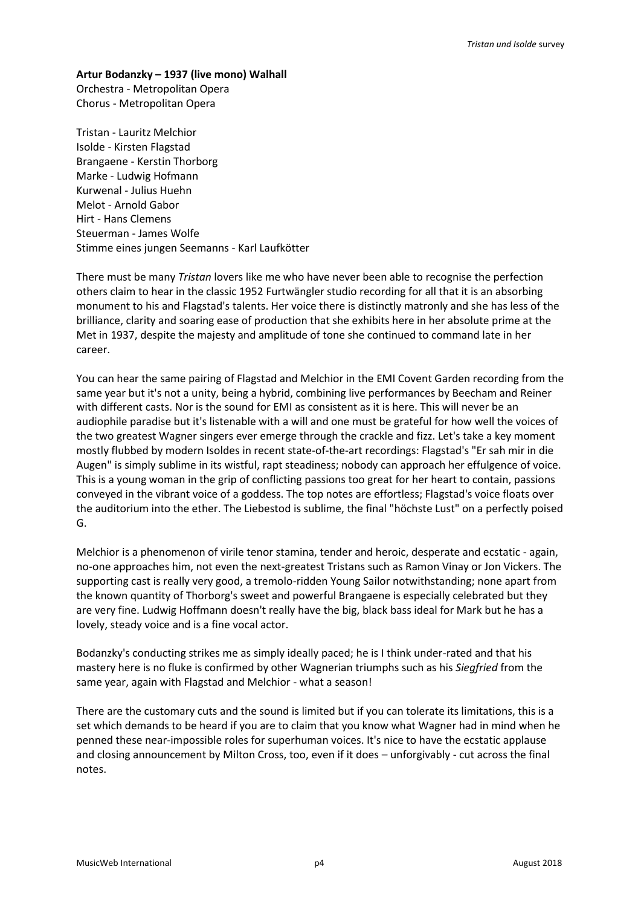#### **Artur Bodanzky – 1937 (live mono) Walhall**

Orchestra - Metropolitan Opera Chorus - Metropolitan Opera

Tristan - Lauritz Melchior Isolde - Kirsten Flagstad Brangaene - Kerstin Thorborg Marke - Ludwig Hofmann Kurwenal - Julius Huehn Melot - Arnold Gabor Hirt - Hans Clemens Steuerman - James Wolfe Stimme eines jungen Seemanns - Karl Laufkötter

There must be many *Tristan* lovers like me who have never been able to recognise the perfection others claim to hear in the classic 1952 Furtwängler studio recording for all that it is an absorbing monument to his and Flagstad's talents. Her voice there is distinctly matronly and she has less of the brilliance, clarity and soaring ease of production that she exhibits here in her absolute prime at the Met in 1937, despite the majesty and amplitude of tone she continued to command late in her career.

You can hear the same pairing of Flagstad and Melchior in the EMI Covent Garden recording from the same year but it's not a unity, being a hybrid, combining live performances by Beecham and Reiner with different casts. Nor is the sound for EMI as consistent as it is here. This will never be an audiophile paradise but it's listenable with a will and one must be grateful for how well the voices of the two greatest Wagner singers ever emerge through the crackle and fizz. Let's take a key moment mostly flubbed by modern Isoldes in recent state-of-the-art recordings: Flagstad's "Er sah mir in die Augen" is simply sublime in its wistful, rapt steadiness; nobody can approach her effulgence of voice. This is a young woman in the grip of conflicting passions too great for her heart to contain, passions conveyed in the vibrant voice of a goddess. The top notes are effortless; Flagstad's voice floats over the auditorium into the ether. The Liebestod is sublime, the final "höchste Lust" on a perfectly poised G.

Melchior is a phenomenon of virile tenor stamina, tender and heroic, desperate and ecstatic - again, no-one approaches him, not even the next-greatest Tristans such as Ramon Vinay or Jon Vickers. The supporting cast is really very good, a tremolo-ridden Young Sailor notwithstanding; none apart from the known quantity of Thorborg's sweet and powerful Brangaene is especially celebrated but they are very fine. Ludwig Hoffmann doesn't really have the big, black bass ideal for Mark but he has a lovely, steady voice and is a fine vocal actor.

Bodanzky's conducting strikes me as simply ideally paced; he is I think under-rated and that his mastery here is no fluke is confirmed by other Wagnerian triumphs such as his *Siegfried* from the same year, again with Flagstad and Melchior - what a season!

There are the customary cuts and the sound is limited but if you can tolerate its limitations, this is a set which demands to be heard if you are to claim that you know what Wagner had in mind when he penned these near-impossible roles for superhuman voices. It's nice to have the ecstatic applause and closing announcement by Milton Cross, too, even if it does – unforgivably - cut across the final notes.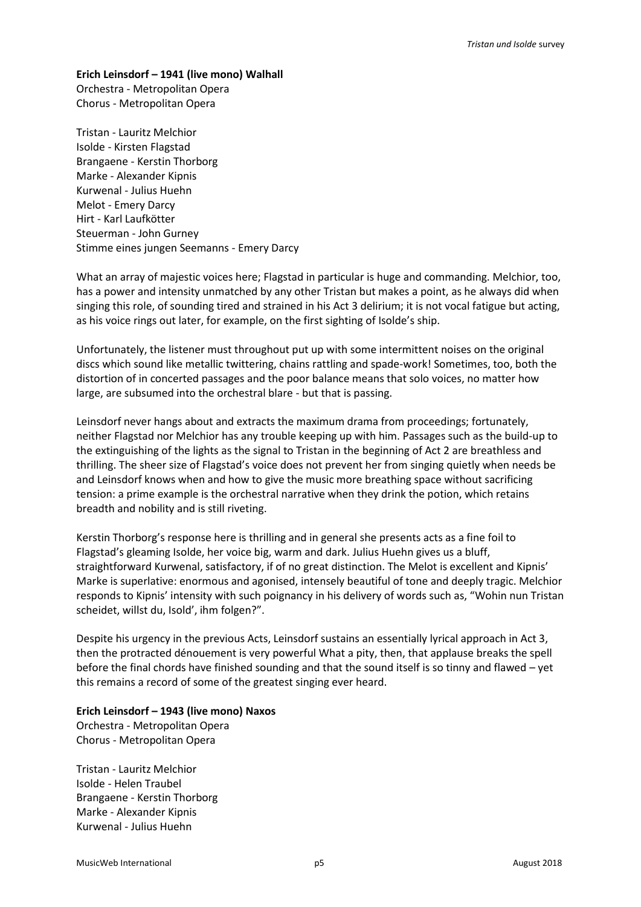### **Erich Leinsdorf – 1941 (live mono) Walhall**

Orchestra - Metropolitan Opera Chorus - Metropolitan Opera

Tristan - Lauritz Melchior Isolde - Kirsten Flagstad Brangaene - Kerstin Thorborg Marke - Alexander Kipnis Kurwenal - Julius Huehn Melot - Emery Darcy Hirt - Karl Laufkötter Steuerman - John Gurney Stimme eines jungen Seemanns - Emery Darcy

What an array of majestic voices here; Flagstad in particular is huge and commanding. Melchior, too, has a power and intensity unmatched by any other Tristan but makes a point, as he always did when singing this role, of sounding tired and strained in his Act 3 delirium; it is not vocal fatigue but acting, as his voice rings out later, for example, on the first sighting of Isolde's ship.

Unfortunately, the listener must throughout put up with some intermittent noises on the original discs which sound like metallic twittering, chains rattling and spade-work! Sometimes, too, both the distortion of in concerted passages and the poor balance means that solo voices, no matter how large, are subsumed into the orchestral blare - but that is passing.

Leinsdorf never hangs about and extracts the maximum drama from proceedings; fortunately, neither Flagstad nor Melchior has any trouble keeping up with him. Passages such as the build-up to the extinguishing of the lights as the signal to Tristan in the beginning of Act 2 are breathless and thrilling. The sheer size of Flagstad's voice does not prevent her from singing quietly when needs be and Leinsdorf knows when and how to give the music more breathing space without sacrificing tension: a prime example is the orchestral narrative when they drink the potion, which retains breadth and nobility and is still riveting.

Kerstin Thorborg's response here is thrilling and in general she presents acts as a fine foil to Flagstad's gleaming Isolde, her voice big, warm and dark. Julius Huehn gives us a bluff, straightforward Kurwenal, satisfactory, if of no great distinction. The Melot is excellent and Kipnis' Marke is superlative: enormous and agonised, intensely beautiful of tone and deeply tragic. Melchior responds to Kipnis' intensity with such poignancy in his delivery of words such as, "Wohin nun Tristan scheidet, willst du, Isold', ihm folgen?".

Despite his urgency in the previous Acts, Leinsdorf sustains an essentially lyrical approach in Act 3, then the protracted dénouement is very powerful What a pity, then, that applause breaks the spell before the final chords have finished sounding and that the sound itself is so tinny and flawed – yet this remains a record of some of the greatest singing ever heard.

## **Erich Leinsdorf – 1943 (live mono) Naxos**

Orchestra - Metropolitan Opera Chorus - Metropolitan Opera

Tristan - Lauritz Melchior Isolde - Helen Traubel Brangaene - Kerstin Thorborg Marke - Alexander Kipnis Kurwenal - Julius Huehn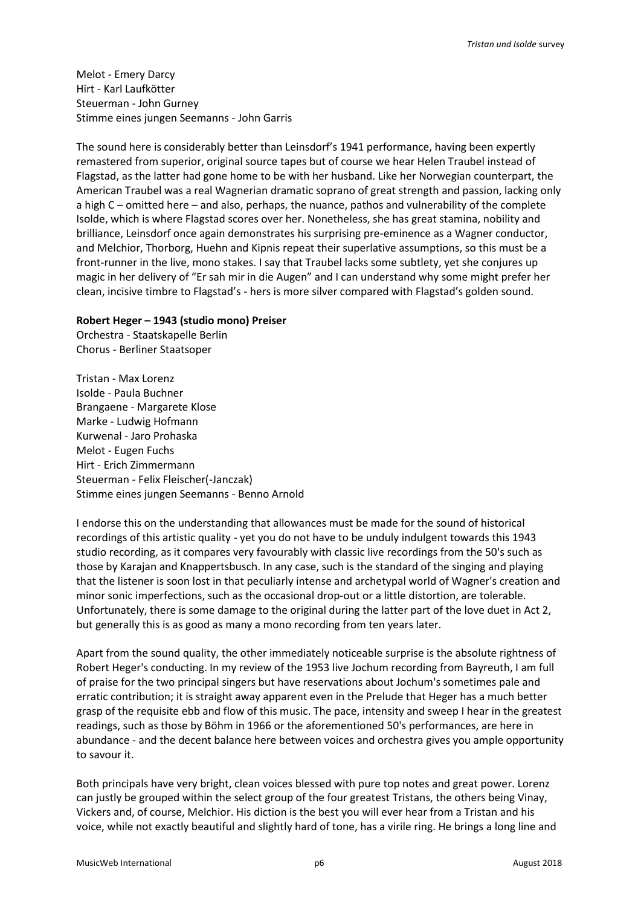Melot - Emery Darcy Hirt - Karl Laufkötter Steuerman - John Gurney Stimme eines jungen Seemanns - John Garris

The sound here is considerably better than Leinsdorf's 1941 performance, having been expertly remastered from superior, original source tapes but of course we hear Helen Traubel instead of Flagstad, as the latter had gone home to be with her husband. Like her Norwegian counterpart, the American Traubel was a real Wagnerian dramatic soprano of great strength and passion, lacking only a high C – omitted here – and also, perhaps, the nuance, pathos and vulnerability of the complete Isolde, which is where Flagstad scores over her. Nonetheless, she has great stamina, nobility and brilliance, Leinsdorf once again demonstrates his surprising pre-eminence as a Wagner conductor, and Melchior, Thorborg, Huehn and Kipnis repeat their superlative assumptions, so this must be a front-runner in the live, mono stakes. I say that Traubel lacks some subtlety, yet she conjures up magic in her delivery of "Er sah mir in die Augen" and I can understand why some might prefer her clean, incisive timbre to Flagstad's - hers is more silver compared with Flagstad's golden sound.

#### **Robert Heger – 1943 (studio mono) Preiser**

Orchestra - Staatskapelle Berlin Chorus - Berliner Staatsoper

Tristan - Max Lorenz Isolde - Paula Buchner Brangaene - Margarete Klose Marke - Ludwig Hofmann Kurwenal - Jaro Prohaska Melot - Eugen Fuchs Hirt - Erich Zimmermann Steuerman - Felix Fleischer(-Janczak) Stimme eines jungen Seemanns - Benno Arnold

I endorse this on the understanding that allowances must be made for the sound of historical recordings of this artistic quality - yet you do not have to be unduly indulgent towards this 1943 studio recording, as it compares very favourably with classic live recordings from the 50's such as those by Karajan and Knappertsbusch. In any case, such is the standard of the singing and playing that the listener is soon lost in that peculiarly intense and archetypal world of Wagner's creation and minor sonic imperfections, such as the occasional drop-out or a little distortion, are tolerable. Unfortunately, there is some damage to the original during the latter part of the love duet in Act 2, but generally this is as good as many a mono recording from ten years later.

Apart from the sound quality, the other immediately noticeable surprise is the absolute rightness of Robert Heger's conducting. In my review of the 1953 live Jochum recording from Bayreuth, I am full of praise for the two principal singers but have reservations about Jochum's sometimes pale and erratic contribution; it is straight away apparent even in the Prelude that Heger has a much better grasp of the requisite ebb and flow of this music. The pace, intensity and sweep I hear in the greatest readings, such as those by Böhm in 1966 or the aforementioned 50's performances, are here in abundance - and the decent balance here between voices and orchestra gives you ample opportunity to savour it.

Both principals have very bright, clean voices blessed with pure top notes and great power. Lorenz can justly be grouped within the select group of the four greatest Tristans, the others being Vinay, Vickers and, of course, Melchior. His diction is the best you will ever hear from a Tristan and his voice, while not exactly beautiful and slightly hard of tone, has a virile ring. He brings a long line and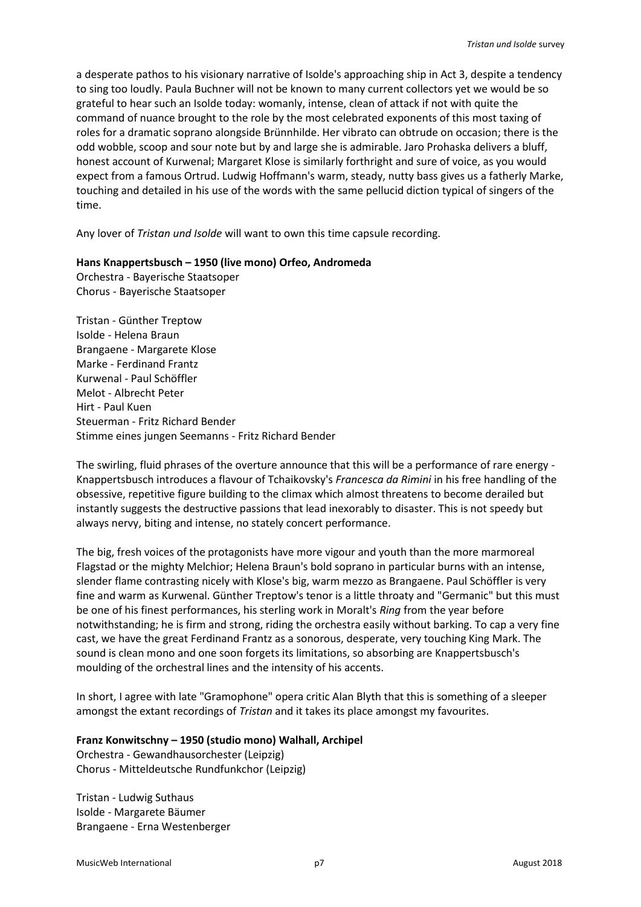a desperate pathos to his visionary narrative of Isolde's approaching ship in Act 3, despite a tendency to sing too loudly. Paula Buchner will not be known to many current collectors yet we would be so grateful to hear such an Isolde today: womanly, intense, clean of attack if not with quite the command of nuance brought to the role by the most celebrated exponents of this most taxing of roles for a dramatic soprano alongside Brünnhilde. Her vibrato can obtrude on occasion; there is the odd wobble, scoop and sour note but by and large she is admirable. Jaro Prohaska delivers a bluff, honest account of Kurwenal; Margaret Klose is similarly forthright and sure of voice, as you would expect from a famous Ortrud. Ludwig Hoffmann's warm, steady, nutty bass gives us a fatherly Marke, touching and detailed in his use of the words with the same pellucid diction typical of singers of the time.

Any lover of *Tristan und Isolde* will want to own this time capsule recording.

#### **Hans Knappertsbusch – 1950 (live mono) Orfeo, Andromeda**

Orchestra - Bayerische Staatsoper Chorus - Bayerische Staatsoper

Tristan - Günther Treptow Isolde - Helena Braun Brangaene - Margarete Klose Marke - Ferdinand Frantz Kurwenal - Paul Schöffler Melot - Albrecht Peter Hirt - Paul Kuen Steuerman - Fritz Richard Bender Stimme eines jungen Seemanns - Fritz Richard Bender

The swirling, fluid phrases of the overture announce that this will be a performance of rare energy - Knappertsbusch introduces a flavour of Tchaikovsky's *Francesca da Rimini* in his free handling of the obsessive, repetitive figure building to the climax which almost threatens to become derailed but instantly suggests the destructive passions that lead inexorably to disaster. This is not speedy but always nervy, biting and intense, no stately concert performance.

The big, fresh voices of the protagonists have more vigour and youth than the more marmoreal Flagstad or the mighty Melchior; Helena Braun's bold soprano in particular burns with an intense, slender flame contrasting nicely with Klose's big, warm mezzo as Brangaene. Paul Schöffler is very fine and warm as Kurwenal. Günther Treptow's tenor is a little throaty and "Germanic" but this must be one of his finest performances, his sterling work in Moralt's *Ring* from the year before notwithstanding; he is firm and strong, riding the orchestra easily without barking. To cap a very fine cast, we have the great Ferdinand Frantz as a sonorous, desperate, very touching King Mark. The sound is clean mono and one soon forgets its limitations, so absorbing are Knappertsbusch's moulding of the orchestral lines and the intensity of his accents.

In short, I agree with late "Gramophone" opera critic Alan Blyth that this is something of a sleeper amongst the extant recordings of *Tristan* and it takes its place amongst my favourites.

#### **Franz Konwitschny – 1950 (studio mono) Walhall, Archipel**

Orchestra - Gewandhausorchester (Leipzig) Chorus - Mitteldeutsche Rundfunkchor (Leipzig)

Tristan - Ludwig Suthaus Isolde - Margarete Bäumer Brangaene - Erna Westenberger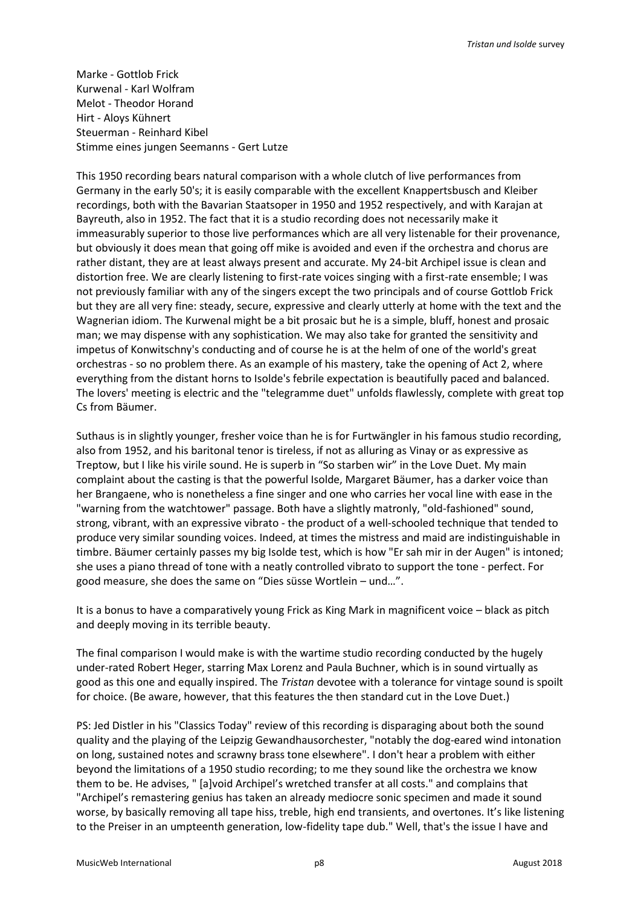Marke - Gottlob Frick Kurwenal - Karl Wolfram Melot - Theodor Horand Hirt - Aloys Kühnert Steuerman - Reinhard Kibel Stimme eines jungen Seemanns - Gert Lutze

This 1950 recording bears natural comparison with a whole clutch of live performances from Germany in the early 50's; it is easily comparable with the excellent Knappertsbusch and Kleiber recordings, both with the Bavarian Staatsoper in 1950 and 1952 respectively, and with Karajan at Bayreuth, also in 1952. The fact that it is a studio recording does not necessarily make it immeasurably superior to those live performances which are all very listenable for their provenance, but obviously it does mean that going off mike is avoided and even if the orchestra and chorus are rather distant, they are at least always present and accurate. My 24-bit Archipel issue is clean and distortion free. We are clearly listening to first-rate voices singing with a first-rate ensemble; I was not previously familiar with any of the singers except the two principals and of course Gottlob Frick but they are all very fine: steady, secure, expressive and clearly utterly at home with the text and the Wagnerian idiom. The Kurwenal might be a bit prosaic but he is a simple, bluff, honest and prosaic man; we may dispense with any sophistication. We may also take for granted the sensitivity and impetus of Konwitschny's conducting and of course he is at the helm of one of the world's great orchestras - so no problem there. As an example of his mastery, take the opening of Act 2, where everything from the distant horns to Isolde's febrile expectation is beautifully paced and balanced. The lovers' meeting is electric and the "telegramme duet" unfolds flawlessly, complete with great top Cs from Bäumer.

Suthaus is in slightly younger, fresher voice than he is for Furtwängler in his famous studio recording, also from 1952, and his baritonal tenor is tireless, if not as alluring as Vinay or as expressive as Treptow, but I like his virile sound. He is superb in "So starben wir" in the Love Duet. My main complaint about the casting is that the powerful Isolde, Margaret Bäumer, has a darker voice than her Brangaene, who is nonetheless a fine singer and one who carries her vocal line with ease in the "warning from the watchtower" passage. Both have a slightly matronly, "old-fashioned" sound, strong, vibrant, with an expressive vibrato - the product of a well-schooled technique that tended to produce very similar sounding voices. Indeed, at times the mistress and maid are indistinguishable in timbre. Bäumer certainly passes my big Isolde test, which is how "Er sah mir in der Augen" is intoned; she uses a piano thread of tone with a neatly controlled vibrato to support the tone - perfect. For good measure, she does the same on "Dies süsse Wortlein – und…".

It is a bonus to have a comparatively young Frick as King Mark in magnificent voice – black as pitch and deeply moving in its terrible beauty.

The final comparison I would make is with the wartime studio recording conducted by the hugely under-rated Robert Heger, starring Max Lorenz and Paula Buchner, which is in sound virtually as good as this one and equally inspired. The *Tristan* devotee with a tolerance for vintage sound is spoilt for choice. (Be aware, however, that this features the then standard cut in the Love Duet.)

PS: Jed Distler in his "Classics Today" review of this recording is disparaging about both the sound quality and the playing of the Leipzig Gewandhausorchester, "notably the dog-eared wind intonation on long, sustained notes and scrawny brass tone elsewhere". I don't hear a problem with either beyond the limitations of a 1950 studio recording; to me they sound like the orchestra we know them to be. He advises, " [a]void Archipel's wretched transfer at all costs." and complains that "Archipel's remastering genius has taken an already mediocre sonic specimen and made it sound worse, by basically removing all tape hiss, treble, high end transients, and overtones. It's like listening to the Preiser in an umpteenth generation, low-fidelity tape dub." Well, that's the issue I have and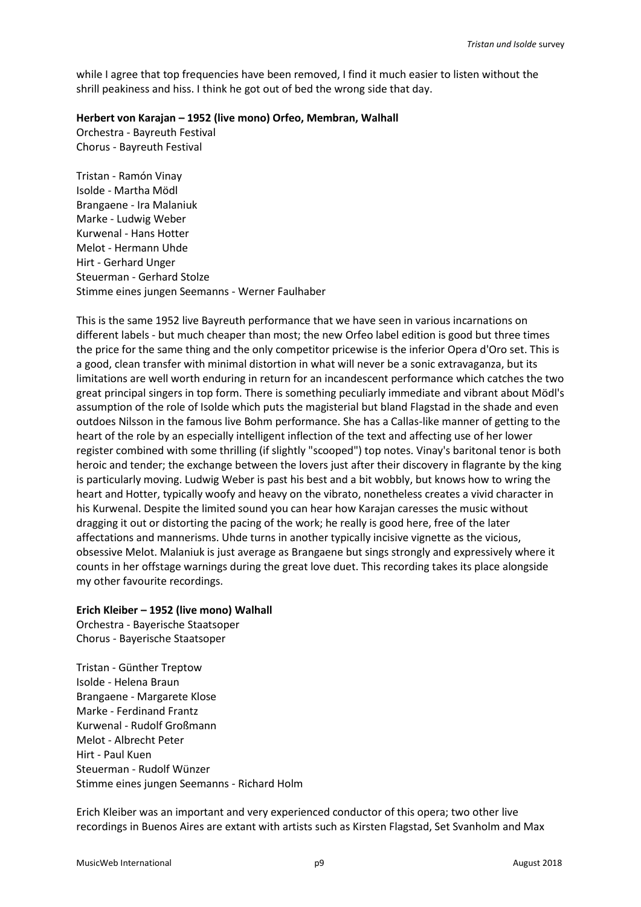while I agree that top frequencies have been removed, I find it much easier to listen without the shrill peakiness and hiss. I think he got out of bed the wrong side that day.

#### **Herbert von Karajan – 1952 (live mono) Orfeo, Membran, Walhall**

Orchestra - Bayreuth Festival Chorus - Bayreuth Festival

Tristan - Ramón Vinay Isolde - Martha Mödl Brangaene - Ira Malaniuk Marke - Ludwig Weber Kurwenal - Hans Hotter Melot - Hermann Uhde Hirt - Gerhard Unger Steuerman - Gerhard Stolze Stimme eines jungen Seemanns - Werner Faulhaber

This is the same 1952 live Bayreuth performance that we have seen in various incarnations on different labels - but much cheaper than most; the new Orfeo label edition is good but three times the price for the same thing and the only competitor pricewise is the inferior Opera d'Oro set. This is a good, clean transfer with minimal distortion in what will never be a sonic extravaganza, but its limitations are well worth enduring in return for an incandescent performance which catches the two great principal singers in top form. There is something peculiarly immediate and vibrant about Mödl's assumption of the role of Isolde which puts the magisterial but bland Flagstad in the shade and even outdoes Nilsson in the famous live Bohm performance. She has a Callas-like manner of getting to the heart of the role by an especially intelligent inflection of the text and affecting use of her lower register combined with some thrilling (if slightly "scooped") top notes. Vinay's baritonal tenor is both heroic and tender; the exchange between the lovers just after their discovery in flagrante by the king is particularly moving. Ludwig Weber is past his best and a bit wobbly, but knows how to wring the heart and Hotter, typically woofy and heavy on the vibrato, nonetheless creates a vivid character in his Kurwenal. Despite the limited sound you can hear how Karajan caresses the music without dragging it out or distorting the pacing of the work; he really is good here, free of the later affectations and mannerisms. Uhde turns in another typically incisive vignette as the vicious, obsessive Melot. Malaniuk is just average as Brangaene but sings strongly and expressively where it counts in her offstage warnings during the great love duet. This recording takes its place alongside my other favourite recordings.

## **Erich Kleiber – 1952 (live mono) Walhall**

Orchestra - Bayerische Staatsoper Chorus - Bayerische Staatsoper

Tristan - Günther Treptow Isolde - Helena Braun Brangaene - Margarete Klose Marke - Ferdinand Frantz Kurwenal - Rudolf Großmann Melot - Albrecht Peter Hirt - Paul Kuen Steuerman - Rudolf Wünzer Stimme eines jungen Seemanns - Richard Holm

Erich Kleiber was an important and very experienced conductor of this opera; two other live recordings in Buenos Aires are extant with artists such as Kirsten Flagstad, Set Svanholm and Max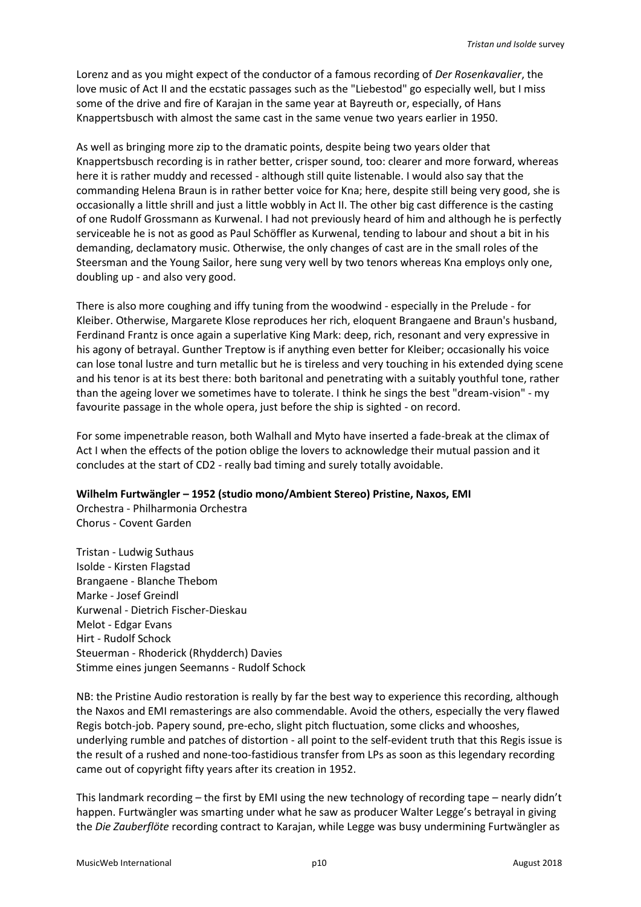Lorenz and as you might expect of the conductor of a famous recording of *Der Rosenkavalier*, the love music of Act II and the ecstatic passages such as the "Liebestod" go especially well, but I miss some of the drive and fire of Karajan in the same year at Bayreuth or, especially, of Hans Knappertsbusch with almost the same cast in the same venue two years earlier in 1950.

As well as bringing more zip to the dramatic points, despite being two years older that Knappertsbusch recording is in rather better, crisper sound, too: clearer and more forward, whereas here it is rather muddy and recessed - although still quite listenable. I would also say that the commanding Helena Braun is in rather better voice for Kna; here, despite still being very good, she is occasionally a little shrill and just a little wobbly in Act II. The other big cast difference is the casting of one Rudolf Grossmann as Kurwenal. I had not previously heard of him and although he is perfectly serviceable he is not as good as Paul Schöffler as Kurwenal, tending to labour and shout a bit in his demanding, declamatory music. Otherwise, the only changes of cast are in the small roles of the Steersman and the Young Sailor, here sung very well by two tenors whereas Kna employs only one, doubling up - and also very good.

There is also more coughing and iffy tuning from the woodwind - especially in the Prelude - for Kleiber. Otherwise, Margarete Klose reproduces her rich, eloquent Brangaene and Braun's husband, Ferdinand Frantz is once again a superlative King Mark: deep, rich, resonant and very expressive in his agony of betrayal. Gunther Treptow is if anything even better for Kleiber; occasionally his voice can lose tonal lustre and turn metallic but he is tireless and very touching in his extended dying scene and his tenor is at its best there: both baritonal and penetrating with a suitably youthful tone, rather than the ageing lover we sometimes have to tolerate. I think he sings the best "dream-vision" - my favourite passage in the whole opera, just before the ship is sighted - on record.

For some impenetrable reason, both Walhall and Myto have inserted a fade-break at the climax of Act I when the effects of the potion oblige the lovers to acknowledge their mutual passion and it concludes at the start of CD2 - really bad timing and surely totally avoidable.

**Wilhelm Furtwängler – 1952 (studio mono/Ambient Stereo) Pristine, Naxos, EMI**

Orchestra - Philharmonia Orchestra Chorus - Covent Garden

Tristan - Ludwig Suthaus Isolde - Kirsten Flagstad Brangaene - Blanche Thebom Marke - Josef Greindl Kurwenal - Dietrich Fischer-Dieskau Melot - Edgar Evans Hirt - Rudolf Schock Steuerman - Rhoderick (Rhydderch) Davies Stimme eines jungen Seemanns - Rudolf Schock

NB: the Pristine Audio restoration is really by far the best way to experience this recording, although the Naxos and EMI remasterings are also commendable. Avoid the others, especially the very flawed Regis botch-job. Papery sound, pre-echo, slight pitch fluctuation, some clicks and whooshes, underlying rumble and patches of distortion - all point to the self-evident truth that this Regis issue is the result of a rushed and none-too-fastidious transfer from LPs as soon as this legendary recording came out of copyright fifty years after its creation in 1952.

This landmark recording – the first by EMI using the new technology of recording tape – nearly didn't happen. Furtwängler was smarting under what he saw as producer Walter Legge's betrayal in giving the *Die Zauberflöte* recording contract to Karajan, while Legge was busy undermining Furtwängler as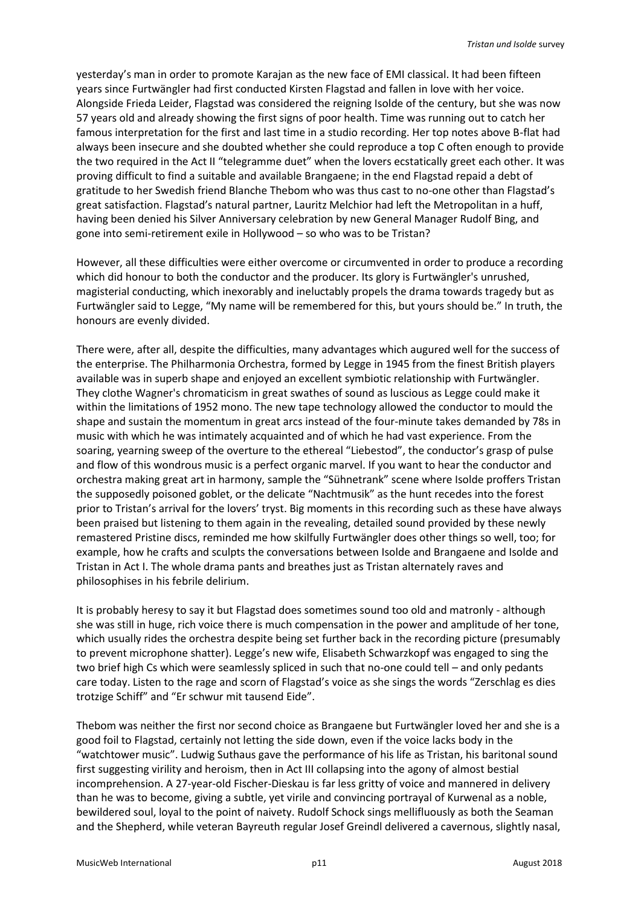yesterday's man in order to promote Karajan as the new face of EMI classical. It had been fifteen years since Furtwängler had first conducted Kirsten Flagstad and fallen in love with her voice. Alongside Frieda Leider, Flagstad was considered the reigning Isolde of the century, but she was now 57 years old and already showing the first signs of poor health. Time was running out to catch her famous interpretation for the first and last time in a studio recording. Her top notes above B-flat had always been insecure and she doubted whether she could reproduce a top C often enough to provide the two required in the Act II "telegramme duet" when the lovers ecstatically greet each other. It was proving difficult to find a suitable and available Brangaene; in the end Flagstad repaid a debt of gratitude to her Swedish friend Blanche Thebom who was thus cast to no-one other than Flagstad's great satisfaction. Flagstad's natural partner, Lauritz Melchior had left the Metropolitan in a huff, having been denied his Silver Anniversary celebration by new General Manager Rudolf Bing, and gone into semi-retirement exile in Hollywood – so who was to be Tristan?

However, all these difficulties were either overcome or circumvented in order to produce a recording which did honour to both the conductor and the producer. Its glory is Furtwängler's unrushed, magisterial conducting, which inexorably and ineluctably propels the drama towards tragedy but as Furtwängler said to Legge, "My name will be remembered for this, but yours should be." In truth, the honours are evenly divided.

There were, after all, despite the difficulties, many advantages which augured well for the success of the enterprise. The Philharmonia Orchestra, formed by Legge in 1945 from the finest British players available was in superb shape and enjoyed an excellent symbiotic relationship with Furtwängler. They clothe Wagner's chromaticism in great swathes of sound as luscious as Legge could make it within the limitations of 1952 mono. The new tape technology allowed the conductor to mould the shape and sustain the momentum in great arcs instead of the four-minute takes demanded by 78s in music with which he was intimately acquainted and of which he had vast experience. From the soaring, yearning sweep of the overture to the ethereal "Liebestod", the conductor's grasp of pulse and flow of this wondrous music is a perfect organic marvel. If you want to hear the conductor and orchestra making great art in harmony, sample the "Sühnetrank" scene where Isolde proffers Tristan the supposedly poisoned goblet, or the delicate "Nachtmusik" as the hunt recedes into the forest prior to Tristan's arrival for the lovers' tryst. Big moments in this recording such as these have always been praised but listening to them again in the revealing, detailed sound provided by these newly remastered Pristine discs, reminded me how skilfully Furtwängler does other things so well, too; for example, how he crafts and sculpts the conversations between Isolde and Brangaene and Isolde and Tristan in Act I. The whole drama pants and breathes just as Tristan alternately raves and philosophises in his febrile delirium.

It is probably heresy to say it but Flagstad does sometimes sound too old and matronly - although she was still in huge, rich voice there is much compensation in the power and amplitude of her tone, which usually rides the orchestra despite being set further back in the recording picture (presumably to prevent microphone shatter). Legge's new wife, Elisabeth Schwarzkopf was engaged to sing the two brief high Cs which were seamlessly spliced in such that no-one could tell – and only pedants care today. Listen to the rage and scorn of Flagstad's voice as she sings the words "Zerschlag es dies trotzige Schiff" and "Er schwur mit tausend Eide".

Thebom was neither the first nor second choice as Brangaene but Furtwängler loved her and she is a good foil to Flagstad, certainly not letting the side down, even if the voice lacks body in the "watchtower music". Ludwig Suthaus gave the performance of his life as Tristan, his baritonal sound first suggesting virility and heroism, then in Act III collapsing into the agony of almost bestial incomprehension. A 27-year-old Fischer-Dieskau is far less gritty of voice and mannered in delivery than he was to become, giving a subtle, yet virile and convincing portrayal of Kurwenal as a noble, bewildered soul, loyal to the point of naivety. Rudolf Schock sings mellifluously as both the Seaman and the Shepherd, while veteran Bayreuth regular Josef Greindl delivered a cavernous, slightly nasal,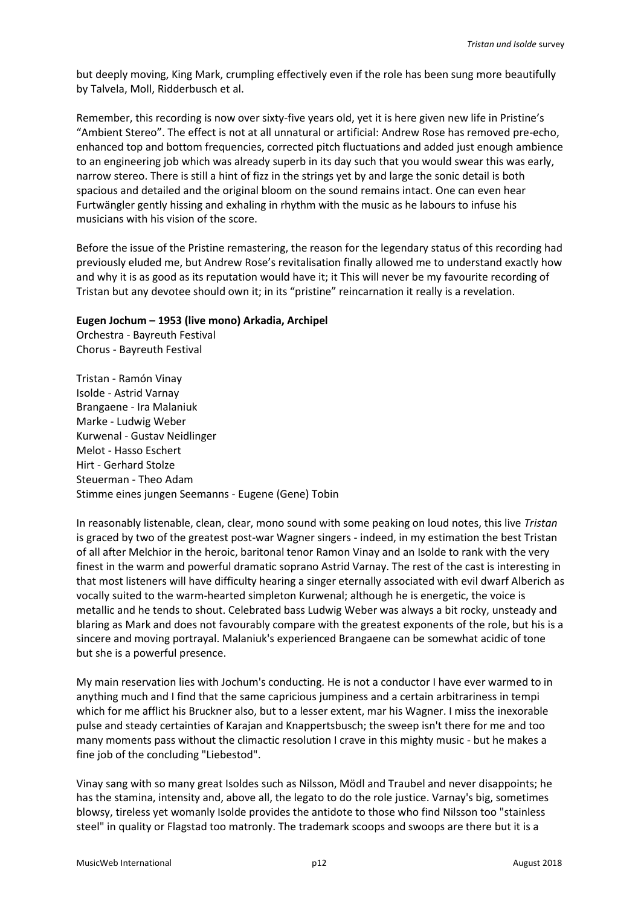but deeply moving, King Mark, crumpling effectively even if the role has been sung more beautifully by Talvela, Moll, Ridderbusch et al.

Remember, this recording is now over sixty-five years old, yet it is here given new life in Pristine's "Ambient Stereo". The effect is not at all unnatural or artificial: Andrew Rose has removed pre-echo, enhanced top and bottom frequencies, corrected pitch fluctuations and added just enough ambience to an engineering job which was already superb in its day such that you would swear this was early, narrow stereo. There is still a hint of fizz in the strings yet by and large the sonic detail is both spacious and detailed and the original bloom on the sound remains intact. One can even hear Furtwängler gently hissing and exhaling in rhythm with the music as he labours to infuse his musicians with his vision of the score.

Before the issue of the Pristine remastering, the reason for the legendary status of this recording had previously eluded me, but Andrew Rose's revitalisation finally allowed me to understand exactly how and why it is as good as its reputation would have it; it This will never be my favourite recording of Tristan but any devotee should own it; in its "pristine" reincarnation it really is a revelation.

#### **Eugen Jochum – 1953 (live mono) Arkadia, Archipel**

Orchestra - Bayreuth Festival Chorus - Bayreuth Festival

Tristan - Ramón Vinay Isolde - Astrid Varnay Brangaene - Ira Malaniuk Marke - Ludwig Weber Kurwenal - Gustav Neidlinger Melot - Hasso Eschert Hirt - Gerhard Stolze Steuerman - Theo Adam Stimme eines jungen Seemanns - Eugene (Gene) Tobin

In reasonably listenable, clean, clear, mono sound with some peaking on loud notes, this live *Tristan* is graced by two of the greatest post-war Wagner singers - indeed, in my estimation the best Tristan of all after Melchior in the heroic, baritonal tenor Ramon Vinay and an Isolde to rank with the very finest in the warm and powerful dramatic soprano Astrid Varnay. The rest of the cast is interesting in that most listeners will have difficulty hearing a singer eternally associated with evil dwarf Alberich as vocally suited to the warm-hearted simpleton Kurwenal; although he is energetic, the voice is metallic and he tends to shout. Celebrated bass Ludwig Weber was always a bit rocky, unsteady and blaring as Mark and does not favourably compare with the greatest exponents of the role, but his is a sincere and moving portrayal. Malaniuk's experienced Brangaene can be somewhat acidic of tone but she is a powerful presence.

My main reservation lies with Jochum's conducting. He is not a conductor I have ever warmed to in anything much and I find that the same capricious jumpiness and a certain arbitrariness in tempi which for me afflict his Bruckner also, but to a lesser extent, mar his Wagner. I miss the inexorable pulse and steady certainties of Karajan and Knappertsbusch; the sweep isn't there for me and too many moments pass without the climactic resolution I crave in this mighty music - but he makes a fine job of the concluding "Liebestod".

Vinay sang with so many great Isoldes such as Nilsson, Mödl and Traubel and never disappoints; he has the stamina, intensity and, above all, the legato to do the role justice. Varnay's big, sometimes blowsy, tireless yet womanly Isolde provides the antidote to those who find Nilsson too "stainless steel" in quality or Flagstad too matronly. The trademark scoops and swoops are there but it is a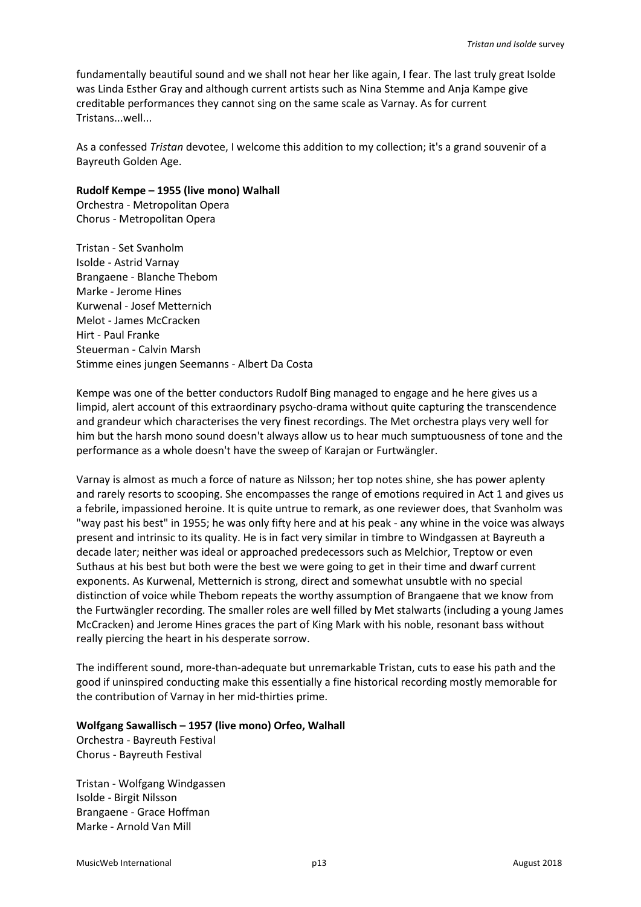fundamentally beautiful sound and we shall not hear her like again, I fear. The last truly great Isolde was Linda Esther Gray and although current artists such as Nina Stemme and Anja Kampe give creditable performances they cannot sing on the same scale as Varnay. As for current Tristans...well...

As a confessed *Tristan* devotee, I welcome this addition to my collection; it's a grand souvenir of a Bayreuth Golden Age.

### **Rudolf Kempe – 1955 (live mono) Walhall**

Orchestra - Metropolitan Opera Chorus - Metropolitan Opera

Tristan - Set Svanholm Isolde - Astrid Varnay Brangaene - Blanche Thebom Marke - Jerome Hines Kurwenal - Josef Metternich Melot - James McCracken Hirt - Paul Franke Steuerman - Calvin Marsh Stimme eines jungen Seemanns - Albert Da Costa

Kempe was one of the better conductors Rudolf Bing managed to engage and he here gives us a limpid, alert account of this extraordinary psycho-drama without quite capturing the transcendence and grandeur which characterises the very finest recordings. The Met orchestra plays very well for him but the harsh mono sound doesn't always allow us to hear much sumptuousness of tone and the performance as a whole doesn't have the sweep of Karajan or Furtwängler.

Varnay is almost as much a force of nature as Nilsson; her top notes shine, she has power aplenty and rarely resorts to scooping. She encompasses the range of emotions required in Act 1 and gives us a febrile, impassioned heroine. It is quite untrue to remark, as one reviewer does, that Svanholm was "way past his best" in 1955; he was only fifty here and at his peak - any whine in the voice was always present and intrinsic to its quality. He is in fact very similar in timbre to Windgassen at Bayreuth a decade later; neither was ideal or approached predecessors such as Melchior, Treptow or even Suthaus at his best but both were the best we were going to get in their time and dwarf current exponents. As Kurwenal, Metternich is strong, direct and somewhat unsubtle with no special distinction of voice while Thebom repeats the worthy assumption of Brangaene that we know from the Furtwängler recording. The smaller roles are well filled by Met stalwarts (including a young James McCracken) and Jerome Hines graces the part of King Mark with his noble, resonant bass without really piercing the heart in his desperate sorrow.

The indifferent sound, more-than-adequate but unremarkable Tristan, cuts to ease his path and the good if uninspired conducting make this essentially a fine historical recording mostly memorable for the contribution of Varnay in her mid-thirties prime.

## **Wolfgang Sawallisch – 1957 (live mono) Orfeo, Walhall**

Orchestra - Bayreuth Festival Chorus - Bayreuth Festival

Tristan - Wolfgang Windgassen Isolde - Birgit Nilsson Brangaene - Grace Hoffman Marke - Arnold Van Mill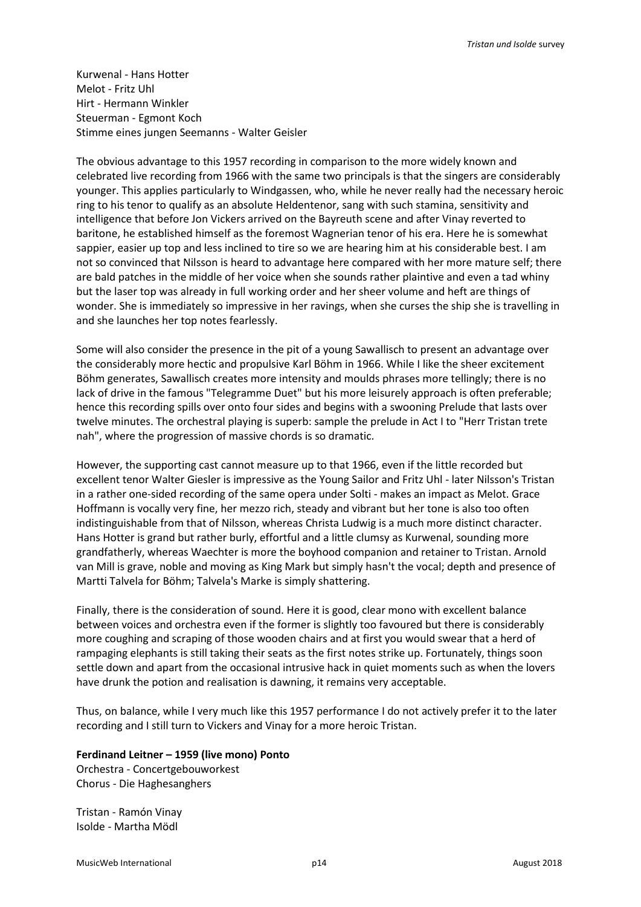Kurwenal - Hans Hotter Melot - Fritz Uhl Hirt - Hermann Winkler Steuerman - Egmont Koch Stimme eines jungen Seemanns - Walter Geisler

The obvious advantage to this 1957 recording in comparison to the more widely known and celebrated live recording from 1966 with the same two principals is that the singers are considerably younger. This applies particularly to Windgassen, who, while he never really had the necessary heroic ring to his tenor to qualify as an absolute Heldentenor, sang with such stamina, sensitivity and intelligence that before Jon Vickers arrived on the Bayreuth scene and after Vinay reverted to baritone, he established himself as the foremost Wagnerian tenor of his era. Here he is somewhat sappier, easier up top and less inclined to tire so we are hearing him at his considerable best. I am not so convinced that Nilsson is heard to advantage here compared with her more mature self; there are bald patches in the middle of her voice when she sounds rather plaintive and even a tad whiny but the laser top was already in full working order and her sheer volume and heft are things of wonder. She is immediately so impressive in her ravings, when she curses the ship she is travelling in and she launches her top notes fearlessly.

Some will also consider the presence in the pit of a young Sawallisch to present an advantage over the considerably more hectic and propulsive Karl Böhm in 1966. While I like the sheer excitement Böhm generates, Sawallisch creates more intensity and moulds phrases more tellingly; there is no lack of drive in the famous "Telegramme Duet" but his more leisurely approach is often preferable; hence this recording spills over onto four sides and begins with a swooning Prelude that lasts over twelve minutes. The orchestral playing is superb: sample the prelude in Act I to "Herr Tristan trete nah", where the progression of massive chords is so dramatic.

However, the supporting cast cannot measure up to that 1966, even if the little recorded but excellent tenor Walter Giesler is impressive as the Young Sailor and Fritz Uhl - later Nilsson's Tristan in a rather one-sided recording of the same opera under Solti - makes an impact as Melot. Grace Hoffmann is vocally very fine, her mezzo rich, steady and vibrant but her tone is also too often indistinguishable from that of Nilsson, whereas Christa Ludwig is a much more distinct character. Hans Hotter is grand but rather burly, effortful and a little clumsy as Kurwenal, sounding more grandfatherly, whereas Waechter is more the boyhood companion and retainer to Tristan. Arnold van Mill is grave, noble and moving as King Mark but simply hasn't the vocal; depth and presence of Martti Talvela for Böhm; Talvela's Marke is simply shattering.

Finally, there is the consideration of sound. Here it is good, clear mono with excellent balance between voices and orchestra even if the former is slightly too favoured but there is considerably more coughing and scraping of those wooden chairs and at first you would swear that a herd of rampaging elephants is still taking their seats as the first notes strike up. Fortunately, things soon settle down and apart from the occasional intrusive hack in quiet moments such as when the lovers have drunk the potion and realisation is dawning, it remains very acceptable.

Thus, on balance, while I very much like this 1957 performance I do not actively prefer it to the later recording and I still turn to Vickers and Vinay for a more heroic Tristan.

## **Ferdinand Leitner – 1959 (live mono) Ponto**

Orchestra - Concertgebouworkest Chorus - Die Haghesanghers

Tristan - Ramón Vinay Isolde - Martha Mödl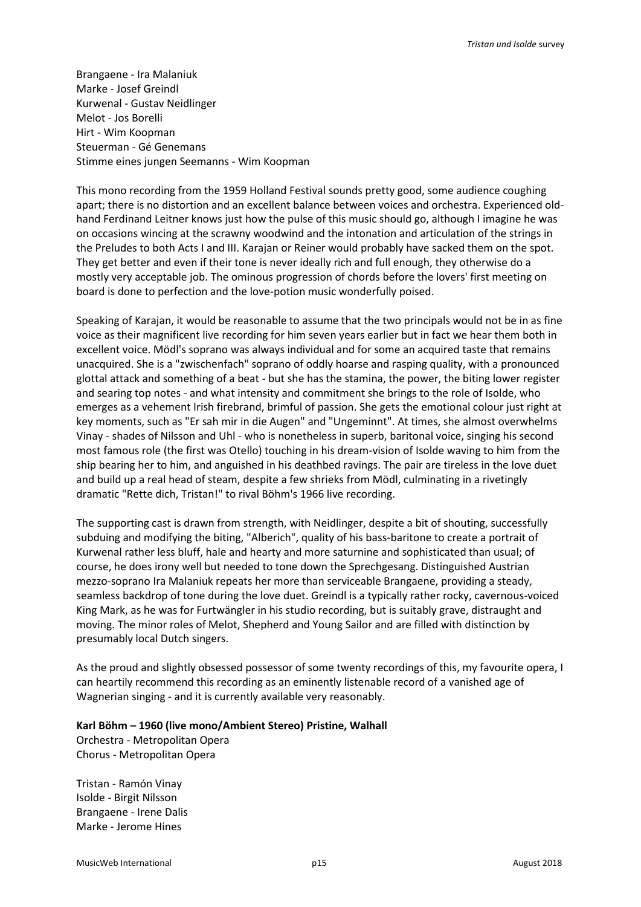Brangaene - Ira Malaniuk Marke - Josef Greindl Kurwenal - Gustav Neidlinger Melot - Jos Borelli Hirt - Wim Koopman Steuerman - Gé Genemans Stimme eines jungen Seemanns - Wim Koopman

This mono recording from the 1959 Holland Festival sounds pretty good, some audience coughing apart; there is no distortion and an excellent balance between voices and orchestra. Experienced oldhand Ferdinand Leitner knows just how the pulse of this music should go, although I imagine he was on occasions wincing at the scrawny woodwind and the intonation and articulation of the strings in the Preludes to both Acts I and III. Karajan or Reiner would probably have sacked them on the spot. They get better and even if their tone is never ideally rich and full enough, they otherwise do a mostly very acceptable job. The ominous progression of chords before the lovers' first meeting on board is done to perfection and the love-potion music wonderfully poised.

Speaking of Karajan, it would be reasonable to assume that the two principals would not be in as fine voice as their magnificent live recording for him seven years earlier but in fact we hear them both in excellent voice. Mödl's soprano was always individual and for some an acquired taste that remains unacquired. She is a "zwischenfach" soprano of oddly hoarse and rasping quality, with a pronounced glottal attack and something of a beat - but she has the stamina, the power, the biting lower register and searing top notes - and what intensity and commitment she brings to the role of Isolde, who emerges as a vehement Irish firebrand, brimful of passion. She gets the emotional colour just right at key moments, such as "Er sah mir in die Augen" and "Ungeminnt". At times, she almost overwhelms Vinay - shades of Nilsson and Uhl - who is nonetheless in superb, baritonal voice, singing his second most famous role (the first was Otello) touching in his dream-vision of Isolde waving to him from the ship bearing her to him, and anguished in his deathbed ravings. The pair are tireless in the love duet and build up a real head of steam, despite a few shrieks from Mödl, culminating in a rivetingly dramatic "Rette dich, Tristan!" to rival Böhm's 1966 live recording.

The supporting cast is drawn from strength, with Neidlinger, despite a bit of shouting, successfully subduing and modifying the biting, "Alberich", quality of his bass-baritone to create a portrait of Kurwenal rather less bluff, hale and hearty and more saturnine and sophisticated than usual; of course, he does irony well but needed to tone down the Sprechgesang. Distinguished Austrian mezzo-soprano Ira Malaniuk repeats her more than serviceable Brangaene, providing a steady, seamless backdrop of tone during the love duet. Greindl is a typically rather rocky, cavernous-voiced King Mark, as he was for Furtwängler in his studio recording, but is suitably grave, distraught and moving. The minor roles of Melot, Shepherd and Young Sailor and are filled with distinction by presumably local Dutch singers.

As the proud and slightly obsessed possessor of some twenty recordings of this, my favourite opera, I can heartily recommend this recording as an eminently listenable record of a vanished age of Wagnerian singing - and it is currently available very reasonably.

**Karl Böhm – 1960 (live mono/Ambient Stereo) Pristine, Walhall** Orchestra - Metropolitan Opera Chorus - Metropolitan Opera

Tristan - Ramón Vinay Isolde - Birgit Nilsson Brangaene - Irene Dalis Marke - Jerome Hines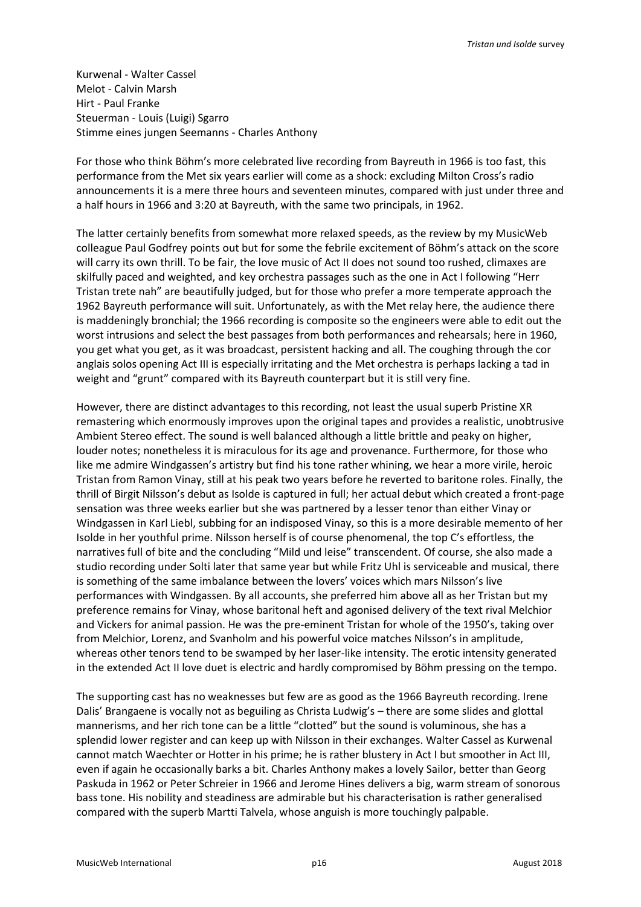Kurwenal - Walter Cassel Melot - Calvin Marsh Hirt - Paul Franke Steuerman - Louis (Luigi) Sgarro Stimme eines jungen Seemanns - Charles Anthony

For those who think Böhm's more celebrated live recording from Bayreuth in 1966 is too fast, this performance from the Met six years earlier will come as a shock: excluding Milton Cross's radio announcements it is a mere three hours and seventeen minutes, compared with just under three and a half hours in 1966 and 3:20 at Bayreuth, with the same two principals, in 1962.

The latter certainly benefits from somewhat more relaxed speeds, as the review by my MusicWeb colleague Paul Godfrey points out but for some the febrile excitement of Böhm's attack on the score will carry its own thrill. To be fair, the love music of Act II does not sound too rushed, climaxes are skilfully paced and weighted, and key orchestra passages such as the one in Act I following "Herr Tristan trete nah" are beautifully judged, but for those who prefer a more temperate approach the 1962 Bayreuth performance will suit. Unfortunately, as with the Met relay here, the audience there is maddeningly bronchial; the 1966 recording is composite so the engineers were able to edit out the worst intrusions and select the best passages from both performances and rehearsals; here in 1960, you get what you get, as it was broadcast, persistent hacking and all. The coughing through the cor anglais solos opening Act III is especially irritating and the Met orchestra is perhaps lacking a tad in weight and "grunt" compared with its Bayreuth counterpart but it is still very fine.

However, there are distinct advantages to this recording, not least the usual superb Pristine XR remastering which enormously improves upon the original tapes and provides a realistic, unobtrusive Ambient Stereo effect. The sound is well balanced although a little brittle and peaky on higher, louder notes; nonetheless it is miraculous for its age and provenance. Furthermore, for those who like me admire Windgassen's artistry but find his tone rather whining, we hear a more virile, heroic Tristan from Ramon Vinay, still at his peak two years before he reverted to baritone roles. Finally, the thrill of Birgit Nilsson's debut as Isolde is captured in full; her actual debut which created a front-page sensation was three weeks earlier but she was partnered by a lesser tenor than either Vinay or Windgassen in Karl Liebl, subbing for an indisposed Vinay, so this is a more desirable memento of her Isolde in her youthful prime. Nilsson herself is of course phenomenal, the top C's effortless, the narratives full of bite and the concluding "Mild und leise" transcendent. Of course, she also made a studio recording under Solti later that same year but while Fritz Uhl is serviceable and musical, there is something of the same imbalance between the lovers' voices which mars Nilsson's live performances with Windgassen. By all accounts, she preferred him above all as her Tristan but my preference remains for Vinay, whose baritonal heft and agonised delivery of the text rival Melchior and Vickers for animal passion. He was the pre-eminent Tristan for whole of the 1950's, taking over from Melchior, Lorenz, and Svanholm and his powerful voice matches Nilsson's in amplitude, whereas other tenors tend to be swamped by her laser-like intensity. The erotic intensity generated in the extended Act II love duet is electric and hardly compromised by Böhm pressing on the tempo.

The supporting cast has no weaknesses but few are as good as the 1966 Bayreuth recording. Irene Dalis' Brangaene is vocally not as beguiling as Christa Ludwig's – there are some slides and glottal mannerisms, and her rich tone can be a little "clotted" but the sound is voluminous, she has a splendid lower register and can keep up with Nilsson in their exchanges. Walter Cassel as Kurwenal cannot match Waechter or Hotter in his prime; he is rather blustery in Act I but smoother in Act III, even if again he occasionally barks a bit. Charles Anthony makes a lovely Sailor, better than Georg Paskuda in 1962 or Peter Schreier in 1966 and Jerome Hines delivers a big, warm stream of sonorous bass tone. His nobility and steadiness are admirable but his characterisation is rather generalised compared with the superb Martti Talvela, whose anguish is more touchingly palpable.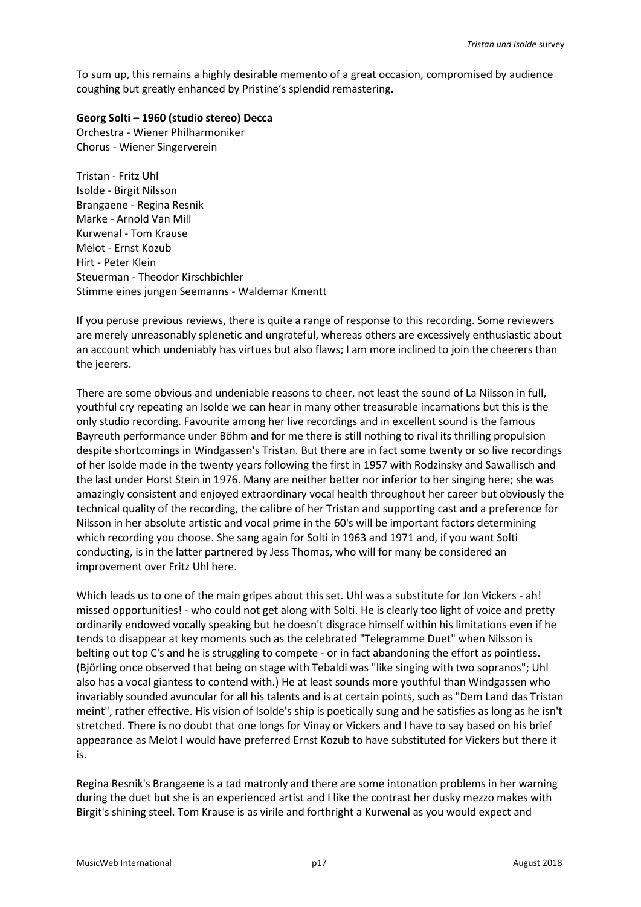To sum up, this remains a highly desirable memento of a great occasion, compromised by audience coughing but greatly enhanced by Pristine's splendid remastering.

### **Georg Solti – 1960 (studio stereo) Decca**

Orchestra - Wiener Philharmoniker Chorus - Wiener Singerverein

Tristan - Fritz Uhl Isolde - Birgit Nilsson Brangaene - Regina Resnik Marke - Arnold Van Mill Kurwenal - Tom Krause Melot - Ernst Kozub Hirt - Peter Klein Steuerman - Theodor Kirschbichler Stimme eines jungen Seemanns - Waldemar Kmentt

If you peruse previous reviews, there is quite a range of response to this recording. Some reviewers are merely unreasonably splenetic and ungrateful, whereas others are excessively enthusiastic about an account which undeniably has virtues but also flaws; I am more inclined to join the cheerers than the jeerers.

There are some obvious and undeniable reasons to cheer, not least the sound of La Nilsson in full, youthful cry repeating an Isolde we can hear in many other treasurable incarnations but this is the only studio recording. Favourite among her live recordings and in excellent sound is the famous Bayreuth performance under Böhm and for me there is still nothing to rival its thrilling propulsion despite shortcomings in Windgassen's Tristan. But there are in fact some twenty or so live recordings of her Isolde made in the twenty years following the first in 1957 with Rodzinsky and Sawallisch and the last under Horst Stein in 1976. Many are neither better nor inferior to her singing here; she was amazingly consistent and enjoyed extraordinary vocal health throughout her career but obviously the technical quality of the recording, the calibre of her Tristan and supporting cast and a preference for Nilsson in her absolute artistic and vocal prime in the 60's will be important factors determining which recording you choose. She sang again for Solti in 1963 and 1971 and, if you want Solti conducting, is in the latter partnered by Jess Thomas, who will for many be considered an improvement over Fritz Uhl here.

Which leads us to one of the main gripes about this set. Uhl was a substitute for Jon Vickers - ah! missed opportunities! - who could not get along with Solti. He is clearly too light of voice and pretty ordinarily endowed vocally speaking but he doesn't disgrace himself within his limitations even if he tends to disappear at key moments such as the celebrated "Telegramme Duet" when Nilsson is belting out top C's and he is struggling to compete - or in fact abandoning the effort as pointless. (Björling once observed that being on stage with Tebaldi was "like singing with two sopranos"; Uhl also has a vocal giantess to contend with.) He at least sounds more youthful than Windgassen who invariably sounded avuncular for all his talents and is at certain points, such as "Dem Land das Tristan meint", rather effective. His vision of Isolde's ship is poetically sung and he satisfies as long as he isn't stretched. There is no doubt that one longs for Vinay or Vickers and I have to say based on his brief appearance as Melot I would have preferred Ernst Kozub to have substituted for Vickers but there it is.

Regina Resnik's Brangaene is a tad matronly and there are some intonation problems in her warning during the duet but she is an experienced artist and I like the contrast her dusky mezzo makes with Birgit's shining steel. Tom Krause is as virile and forthright a Kurwenal as you would expect and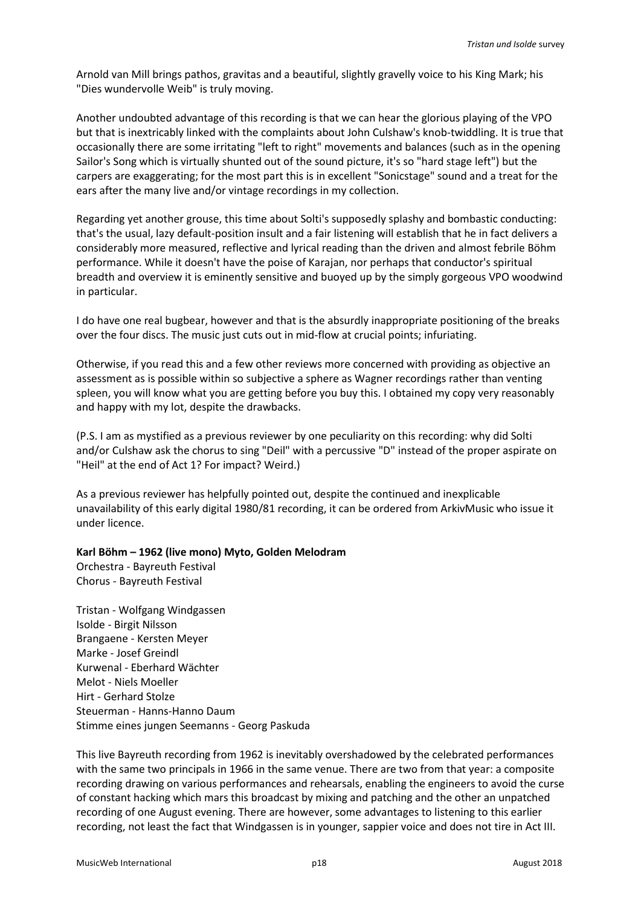Arnold van Mill brings pathos, gravitas and a beautiful, slightly gravelly voice to his King Mark; his "Dies wundervolle Weib" is truly moving.

Another undoubted advantage of this recording is that we can hear the glorious playing of the VPO but that is inextricably linked with the complaints about John Culshaw's knob-twiddling. It is true that occasionally there are some irritating "left to right" movements and balances (such as in the opening Sailor's Song which is virtually shunted out of the sound picture, it's so "hard stage left") but the carpers are exaggerating; for the most part this is in excellent "Sonicstage" sound and a treat for the ears after the many live and/or vintage recordings in my collection.

Regarding yet another grouse, this time about Solti's supposedly splashy and bombastic conducting: that's the usual, lazy default-position insult and a fair listening will establish that he in fact delivers a considerably more measured, reflective and lyrical reading than the driven and almost febrile Böhm performance. While it doesn't have the poise of Karajan, nor perhaps that conductor's spiritual breadth and overview it is eminently sensitive and buoyed up by the simply gorgeous VPO woodwind in particular.

I do have one real bugbear, however and that is the absurdly inappropriate positioning of the breaks over the four discs. The music just cuts out in mid-flow at crucial points; infuriating.

Otherwise, if you read this and a few other reviews more concerned with providing as objective an assessment as is possible within so subjective a sphere as Wagner recordings rather than venting spleen, you will know what you are getting before you buy this. I obtained my copy very reasonably and happy with my lot, despite the drawbacks.

(P.S. I am as mystified as a previous reviewer by one peculiarity on this recording: why did Solti and/or Culshaw ask the chorus to sing "Deil" with a percussive "D" instead of the proper aspirate on "Heil" at the end of Act 1? For impact? Weird.)

As a previous reviewer has helpfully pointed out, despite the continued and inexplicable unavailability of this early digital 1980/81 recording, it can be ordered from ArkivMusic who issue it under licence.

## **Karl Böhm – 1962 (live mono) Myto, Golden Melodram**

Orchestra - Bayreuth Festival Chorus - Bayreuth Festival

Tristan - Wolfgang Windgassen Isolde - Birgit Nilsson Brangaene - Kersten Meyer Marke - Josef Greindl Kurwenal - Eberhard Wächter Melot - Niels Moeller Hirt - Gerhard Stolze Steuerman - Hanns-Hanno Daum Stimme eines jungen Seemanns - Georg Paskuda

This live Bayreuth recording from 1962 is inevitably overshadowed by the celebrated performances with the same two principals in 1966 in the same venue. There are two from that year: a composite recording drawing on various performances and rehearsals, enabling the engineers to avoid the curse of constant hacking which mars this broadcast by mixing and patching and the other an unpatched recording of one August evening. There are however, some advantages to listening to this earlier recording, not least the fact that Windgassen is in younger, sappier voice and does not tire in Act III.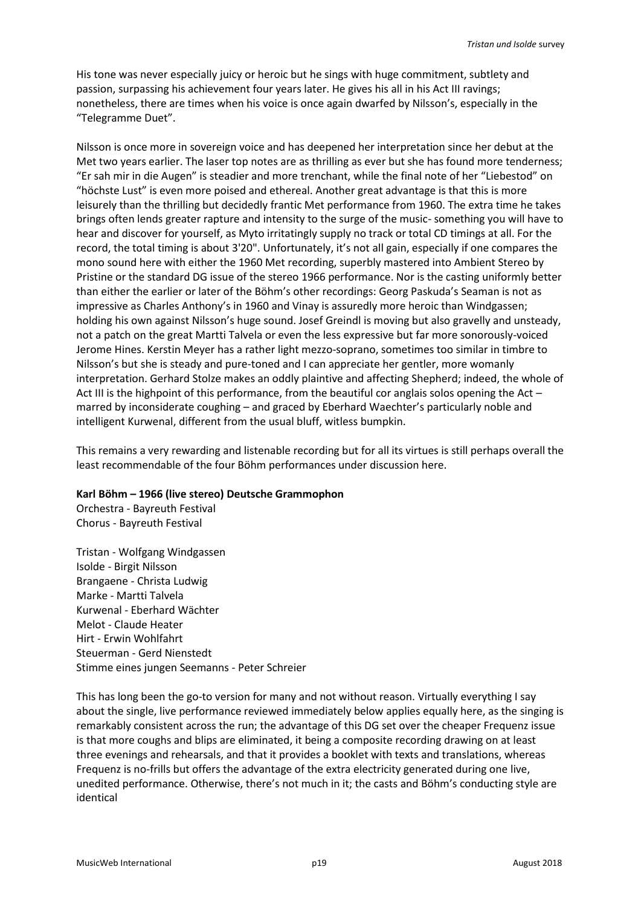His tone was never especially juicy or heroic but he sings with huge commitment, subtlety and passion, surpassing his achievement four years later. He gives his all in his Act III ravings; nonetheless, there are times when his voice is once again dwarfed by Nilsson's, especially in the "Telegramme Duet".

Nilsson is once more in sovereign voice and has deepened her interpretation since her debut at the Met two years earlier. The laser top notes are as thrilling as ever but she has found more tenderness; "Er sah mir in die Augen" is steadier and more trenchant, while the final note of her "Liebestod" on "höchste Lust" is even more poised and ethereal. Another great advantage is that this is more leisurely than the thrilling but decidedly frantic Met performance from 1960. The extra time he takes brings often lends greater rapture and intensity to the surge of the music- something you will have to hear and discover for yourself, as Myto irritatingly supply no track or total CD timings at all. For the record, the total timing is about 3'20". Unfortunately, it's not all gain, especially if one compares the mono sound here with either the 1960 Met recording, superbly mastered into Ambient Stereo by Pristine or the standard DG issue of the stereo 1966 performance. Nor is the casting uniformly better than either the earlier or later of the Böhm's other recordings: Georg Paskuda's Seaman is not as impressive as Charles Anthony's in 1960 and Vinay is assuredly more heroic than Windgassen; holding his own against Nilsson's huge sound. Josef Greindl is moving but also gravelly and unsteady, not a patch on the great Martti Talvela or even the less expressive but far more sonorously-voiced Jerome Hines. Kerstin Meyer has a rather light mezzo-soprano, sometimes too similar in timbre to Nilsson's but she is steady and pure-toned and I can appreciate her gentler, more womanly interpretation. Gerhard Stolze makes an oddly plaintive and affecting Shepherd; indeed, the whole of Act III is the highpoint of this performance, from the beautiful cor anglais solos opening the Act – marred by inconsiderate coughing – and graced by Eberhard Waechter's particularly noble and intelligent Kurwenal, different from the usual bluff, witless bumpkin.

This remains a very rewarding and listenable recording but for all its virtues is still perhaps overall the least recommendable of the four Böhm performances under discussion here.

### **Karl Böhm – 1966 (live stereo) Deutsche Grammophon**

Orchestra - Bayreuth Festival Chorus - Bayreuth Festival

Tristan - Wolfgang Windgassen Isolde - Birgit Nilsson Brangaene - Christa Ludwig Marke - Martti Talvela Kurwenal - Eberhard Wächter Melot - Claude Heater Hirt - Erwin Wohlfahrt Steuerman - Gerd Nienstedt Stimme eines jungen Seemanns - Peter Schreier

This has long been the go-to version for many and not without reason. Virtually everything I say about the single, live performance reviewed immediately below applies equally here, as the singing is remarkably consistent across the run; the advantage of this DG set over the cheaper Frequenz issue is that more coughs and blips are eliminated, it being a composite recording drawing on at least three evenings and rehearsals, and that it provides a booklet with texts and translations, whereas Frequenz is no-frills but offers the advantage of the extra electricity generated during one live, unedited performance. Otherwise, there's not much in it; the casts and Böhm's conducting style are identical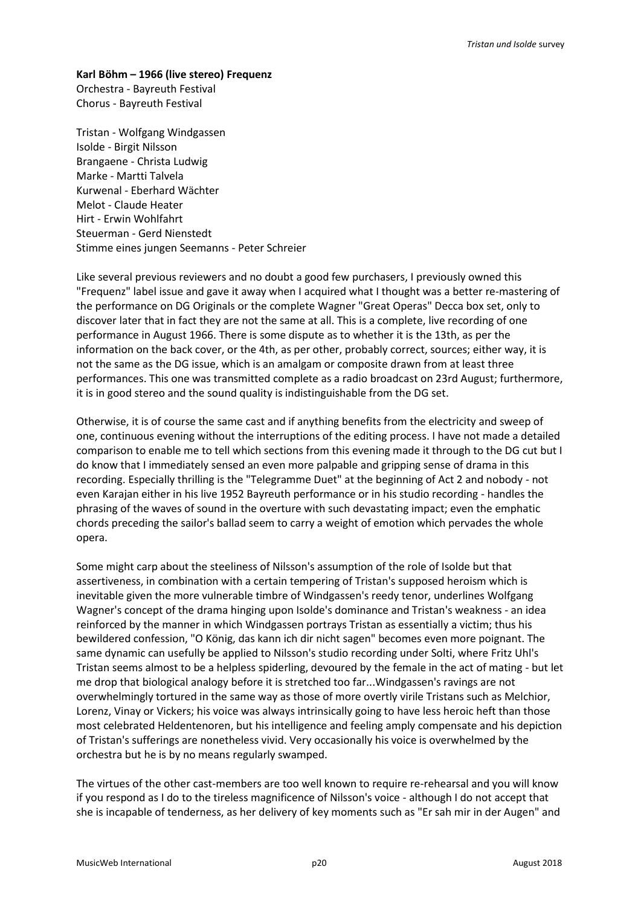### **Karl Böhm – 1966 (live stereo) Frequenz**

Orchestra - Bayreuth Festival Chorus - Bayreuth Festival

Tristan - Wolfgang Windgassen Isolde - Birgit Nilsson Brangaene - Christa Ludwig Marke - Martti Talvela Kurwenal - Eberhard Wächter Melot - Claude Heater Hirt - Erwin Wohlfahrt Steuerman - Gerd Nienstedt Stimme eines jungen Seemanns - Peter Schreier

Like several previous reviewers and no doubt a good few purchasers, I previously owned this "Frequenz" label issue and gave it away when I acquired what I thought was a better re-mastering of the performance on DG Originals or the complete Wagner "Great Operas" Decca box set, only to discover later that in fact they are not the same at all. This is a complete, live recording of one performance in August 1966. There is some dispute as to whether it is the 13th, as per the information on the back cover, or the 4th, as per other, probably correct, sources; either way, it is not the same as the DG issue, which is an amalgam or composite drawn from at least three performances. This one was transmitted complete as a radio broadcast on 23rd August; furthermore, it is in good stereo and the sound quality is indistinguishable from the DG set.

Otherwise, it is of course the same cast and if anything benefits from the electricity and sweep of one, continuous evening without the interruptions of the editing process. I have not made a detailed comparison to enable me to tell which sections from this evening made it through to the DG cut but I do know that I immediately sensed an even more palpable and gripping sense of drama in this recording. Especially thrilling is the "Telegramme Duet" at the beginning of Act 2 and nobody - not even Karajan either in his live 1952 Bayreuth performance or in his studio recording - handles the phrasing of the waves of sound in the overture with such devastating impact; even the emphatic chords preceding the sailor's ballad seem to carry a weight of emotion which pervades the whole opera.

Some might carp about the steeliness of Nilsson's assumption of the role of Isolde but that assertiveness, in combination with a certain tempering of Tristan's supposed heroism which is inevitable given the more vulnerable timbre of Windgassen's reedy tenor, underlines Wolfgang Wagner's concept of the drama hinging upon Isolde's dominance and Tristan's weakness - an idea reinforced by the manner in which Windgassen portrays Tristan as essentially a victim; thus his bewildered confession, "O König, das kann ich dir nicht sagen" becomes even more poignant. The same dynamic can usefully be applied to Nilsson's studio recording under Solti, where Fritz Uhl's Tristan seems almost to be a helpless spiderling, devoured by the female in the act of mating - but let me drop that biological analogy before it is stretched too far...Windgassen's ravings are not overwhelmingly tortured in the same way as those of more overtly virile Tristans such as Melchior, Lorenz, Vinay or Vickers; his voice was always intrinsically going to have less heroic heft than those most celebrated Heldentenoren, but his intelligence and feeling amply compensate and his depiction of Tristan's sufferings are nonetheless vivid. Very occasionally his voice is overwhelmed by the orchestra but he is by no means regularly swamped.

The virtues of the other cast-members are too well known to require re-rehearsal and you will know if you respond as I do to the tireless magnificence of Nilsson's voice - although I do not accept that she is incapable of tenderness, as her delivery of key moments such as "Er sah mir in der Augen" and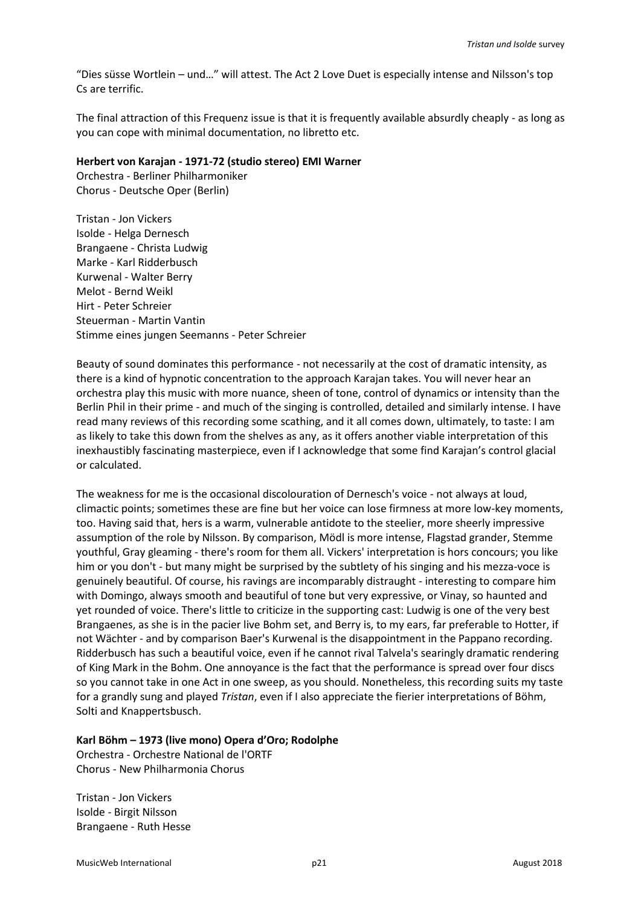"Dies süsse Wortlein – und…" will attest. The Act 2 Love Duet is especially intense and Nilsson's top Cs are terrific.

The final attraction of this Frequenz issue is that it is frequently available absurdly cheaply - as long as you can cope with minimal documentation, no libretto etc.

#### **Herbert von Karajan - 1971-72 (studio stereo) EMI Warner**

Orchestra - Berliner Philharmoniker Chorus - Deutsche Oper (Berlin)

Tristan - Jon Vickers Isolde - Helga Dernesch Brangaene - Christa Ludwig Marke - Karl Ridderbusch Kurwenal - Walter Berry Melot - Bernd Weikl Hirt - Peter Schreier Steuerman - Martin Vantin Stimme eines jungen Seemanns - Peter Schreier

Beauty of sound dominates this performance - not necessarily at the cost of dramatic intensity, as there is a kind of hypnotic concentration to the approach Karajan takes. You will never hear an orchestra play this music with more nuance, sheen of tone, control of dynamics or intensity than the Berlin Phil in their prime - and much of the singing is controlled, detailed and similarly intense. I have read many reviews of this recording some scathing, and it all comes down, ultimately, to taste: I am as likely to take this down from the shelves as any, as it offers another viable interpretation of this inexhaustibly fascinating masterpiece, even if I acknowledge that some find Karajan's control glacial or calculated.

The weakness for me is the occasional discolouration of Dernesch's voice - not always at loud, climactic points; sometimes these are fine but her voice can lose firmness at more low-key moments, too. Having said that, hers is a warm, vulnerable antidote to the steelier, more sheerly impressive assumption of the role by Nilsson. By comparison, Mödl is more intense, Flagstad grander, Stemme youthful, Gray gleaming - there's room for them all. Vickers' interpretation is hors concours; you like him or you don't - but many might be surprised by the subtlety of his singing and his mezza-voce is genuinely beautiful. Of course, his ravings are incomparably distraught - interesting to compare him with Domingo, always smooth and beautiful of tone but very expressive, or Vinay, so haunted and yet rounded of voice. There's little to criticize in the supporting cast: Ludwig is one of the very best Brangaenes, as she is in the pacier live Bohm set, and Berry is, to my ears, far preferable to Hotter, if not Wächter - and by comparison Baer's Kurwenal is the disappointment in the Pappano recording. Ridderbusch has such a beautiful voice, even if he cannot rival Talvela's searingly dramatic rendering of King Mark in the Bohm. One annoyance is the fact that the performance is spread over four discs so you cannot take in one Act in one sweep, as you should. Nonetheless, this recording suits my taste for a grandly sung and played *Tristan*, even if I also appreciate the fierier interpretations of Böhm, Solti and Knappertsbusch.

## **Karl Böhm – 1973 (live mono) Opera d'Oro; Rodolphe**

Orchestra - Orchestre National de l'ORTF Chorus - New Philharmonia Chorus

Tristan - Jon Vickers Isolde - Birgit Nilsson Brangaene - Ruth Hesse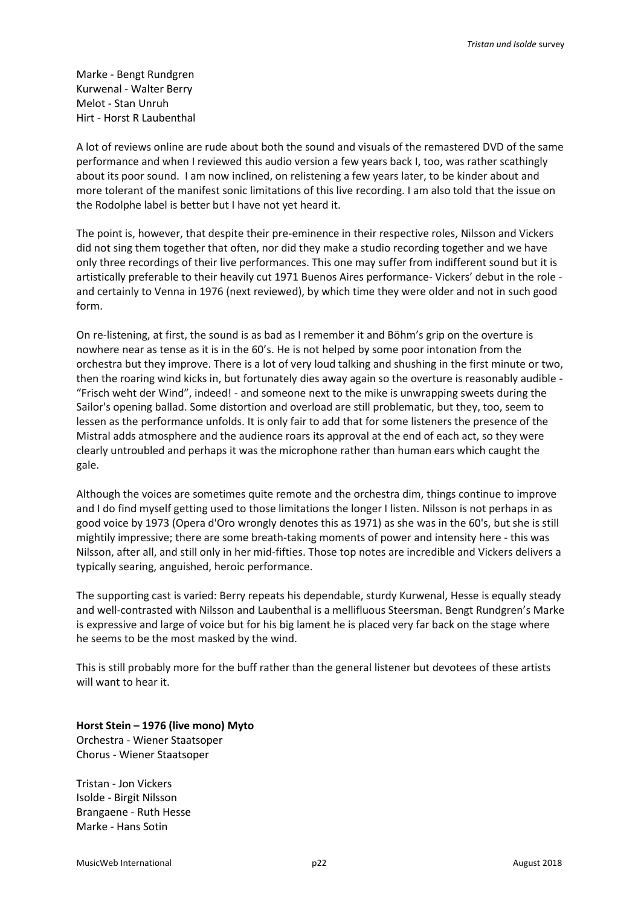Marke - Bengt Rundgren Kurwenal - Walter Berry Melot - Stan Unruh Hirt - Horst R Laubenthal

A lot of reviews online are rude about both the sound and visuals of the remastered DVD of the same performance and when I reviewed this audio version a few years back I, too, was rather scathingly about its poor sound. I am now inclined, on relistening a few years later, to be kinder about and more tolerant of the manifest sonic limitations of this live recording. I am also told that the issue on the Rodolphe label is better but I have not yet heard it.

The point is, however, that despite their pre-eminence in their respective roles, Nilsson and Vickers did not sing them together that often, nor did they make a studio recording together and we have only three recordings of their live performances. This one may suffer from indifferent sound but it is artistically preferable to their heavily cut 1971 Buenos Aires performance- Vickers' debut in the role and certainly to Venna in 1976 (next reviewed), by which time they were older and not in such good form.

On re-listening, at first, the sound is as bad as I remember it and Böhm's grip on the overture is nowhere near as tense as it is in the 60's. He is not helped by some poor intonation from the orchestra but they improve. There is a lot of very loud talking and shushing in the first minute or two, then the roaring wind kicks in, but fortunately dies away again so the overture is reasonably audible - "Frisch weht der Wind", indeed! - and someone next to the mike is unwrapping sweets during the Sailor's opening ballad. Some distortion and overload are still problematic, but they, too, seem to lessen as the performance unfolds. It is only fair to add that for some listeners the presence of the Mistral adds atmosphere and the audience roars its approval at the end of each act, so they were clearly untroubled and perhaps it was the microphone rather than human ears which caught the gale.

Although the voices are sometimes quite remote and the orchestra dim, things continue to improve and I do find myself getting used to those limitations the longer I listen. Nilsson is not perhaps in as good voice by 1973 (Opera d'Oro wrongly denotes this as 1971) as she was in the 60's, but she is still mightily impressive; there are some breath-taking moments of power and intensity here - this was Nilsson, after all, and still only in her mid-fifties. Those top notes are incredible and Vickers delivers a typically searing, anguished, heroic performance.

The supporting cast is varied: Berry repeats his dependable, sturdy Kurwenal, Hesse is equally steady and well-contrasted with Nilsson and Laubenthal is a mellifluous Steersman. Bengt Rundgren's Marke is expressive and large of voice but for his big lament he is placed very far back on the stage where he seems to be the most masked by the wind.

This is still probably more for the buff rather than the general listener but devotees of these artists will want to hear it.

**Horst Stein – 1976 (live mono) Myto** Orchestra - Wiener Staatsoper Chorus - Wiener Staatsoper

Tristan - Jon Vickers Isolde - Birgit Nilsson Brangaene - Ruth Hesse Marke - Hans Sotin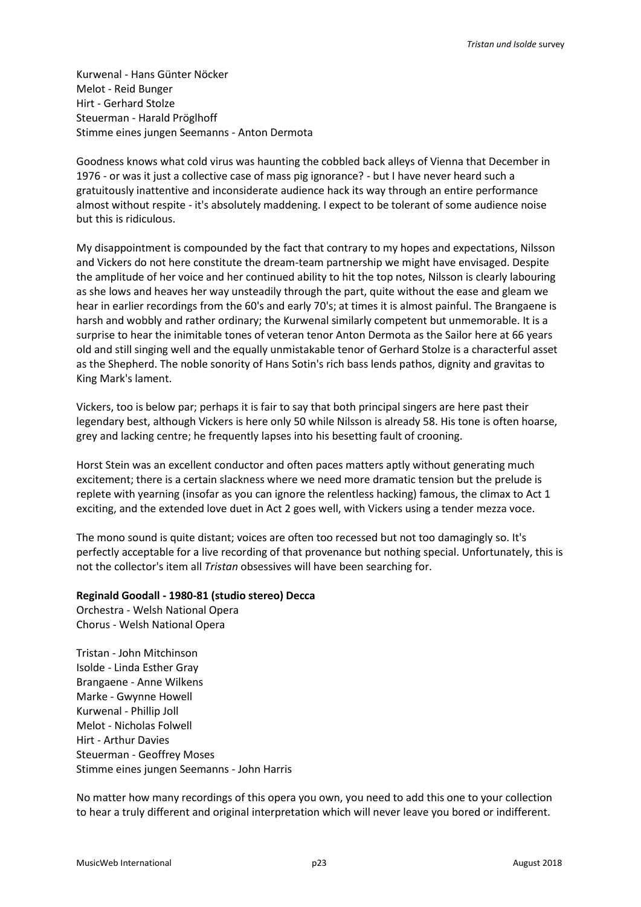Kurwenal - Hans Günter Nöcker Melot - Reid Bunger Hirt - Gerhard Stolze Steuerman - Harald Pröglhoff Stimme eines jungen Seemanns - Anton Dermota

Goodness knows what cold virus was haunting the cobbled back alleys of Vienna that December in 1976 - or was it just a collective case of mass pig ignorance? - but I have never heard such a gratuitously inattentive and inconsiderate audience hack its way through an entire performance almost without respite - it's absolutely maddening. I expect to be tolerant of some audience noise but this is ridiculous.

My disappointment is compounded by the fact that contrary to my hopes and expectations, Nilsson and Vickers do not here constitute the dream-team partnership we might have envisaged. Despite the amplitude of her voice and her continued ability to hit the top notes, Nilsson is clearly labouring as she lows and heaves her way unsteadily through the part, quite without the ease and gleam we hear in earlier recordings from the 60's and early 70's; at times it is almost painful. The Brangaene is harsh and wobbly and rather ordinary; the Kurwenal similarly competent but unmemorable. It is a surprise to hear the inimitable tones of veteran tenor Anton Dermota as the Sailor here at 66 years old and still singing well and the equally unmistakable tenor of Gerhard Stolze is a characterful asset as the Shepherd. The noble sonority of Hans Sotin's rich bass lends pathos, dignity and gravitas to King Mark's lament.

Vickers, too is below par; perhaps it is fair to say that both principal singers are here past their legendary best, although Vickers is here only 50 while Nilsson is already 58. His tone is often hoarse, grey and lacking centre; he frequently lapses into his besetting fault of crooning.

Horst Stein was an excellent conductor and often paces matters aptly without generating much excitement; there is a certain slackness where we need more dramatic tension but the prelude is replete with yearning (insofar as you can ignore the relentless hacking) famous, the climax to Act 1 exciting, and the extended love duet in Act 2 goes well, with Vickers using a tender mezza voce.

The mono sound is quite distant; voices are often too recessed but not too damagingly so. It's perfectly acceptable for a live recording of that provenance but nothing special. Unfortunately, this is not the collector's item all *Tristan* obsessives will have been searching for.

## **Reginald Goodall - 1980-81 (studio stereo) Decca**

Orchestra - Welsh National Opera Chorus - Welsh National Opera

Tristan - John Mitchinson Isolde - Linda Esther Gray Brangaene - Anne Wilkens Marke - Gwynne Howell Kurwenal - Phillip Joll Melot - Nicholas Folwell Hirt - Arthur Davies Steuerman - Geoffrey Moses Stimme eines jungen Seemanns - John Harris

No matter how many recordings of this opera you own, you need to add this one to your collection to hear a truly different and original interpretation which will never leave you bored or indifferent.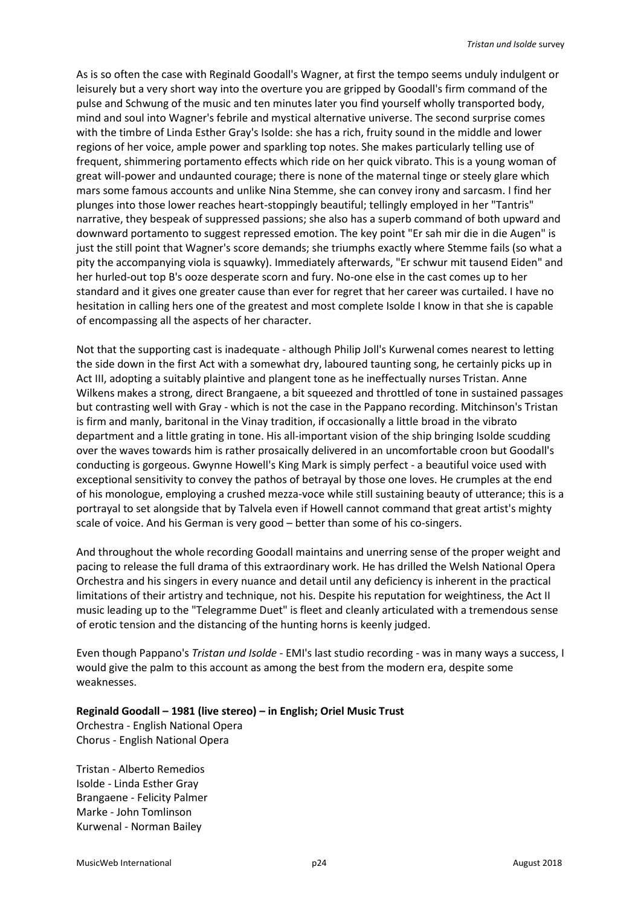As is so often the case with Reginald Goodall's Wagner, at first the tempo seems unduly indulgent or leisurely but a very short way into the overture you are gripped by Goodall's firm command of the pulse and Schwung of the music and ten minutes later you find yourself wholly transported body, mind and soul into Wagner's febrile and mystical alternative universe. The second surprise comes with the timbre of Linda Esther Gray's Isolde: she has a rich, fruity sound in the middle and lower regions of her voice, ample power and sparkling top notes. She makes particularly telling use of frequent, shimmering portamento effects which ride on her quick vibrato. This is a young woman of great will-power and undaunted courage; there is none of the maternal tinge or steely glare which mars some famous accounts and unlike Nina Stemme, she can convey irony and sarcasm. I find her plunges into those lower reaches heart-stoppingly beautiful; tellingly employed in her "Tantris" narrative, they bespeak of suppressed passions; she also has a superb command of both upward and downward portamento to suggest repressed emotion. The key point "Er sah mir die in die Augen" is just the still point that Wagner's score demands; she triumphs exactly where Stemme fails (so what a pity the accompanying viola is squawky). Immediately afterwards, "Er schwur mit tausend Eiden" and her hurled-out top B's ooze desperate scorn and fury. No-one else in the cast comes up to her standard and it gives one greater cause than ever for regret that her career was curtailed. I have no hesitation in calling hers one of the greatest and most complete Isolde I know in that she is capable of encompassing all the aspects of her character.

Not that the supporting cast is inadequate - although Philip Joll's Kurwenal comes nearest to letting the side down in the first Act with a somewhat dry, laboured taunting song, he certainly picks up in Act III, adopting a suitably plaintive and plangent tone as he ineffectually nurses Tristan. Anne Wilkens makes a strong, direct Brangaene, a bit squeezed and throttled of tone in sustained passages but contrasting well with Gray - which is not the case in the Pappano recording. Mitchinson's Tristan is firm and manly, baritonal in the Vinay tradition, if occasionally a little broad in the vibrato department and a little grating in tone. His all-important vision of the ship bringing Isolde scudding over the waves towards him is rather prosaically delivered in an uncomfortable croon but Goodall's conducting is gorgeous. Gwynne Howell's King Mark is simply perfect - a beautiful voice used with exceptional sensitivity to convey the pathos of betrayal by those one loves. He crumples at the end of his monologue, employing a crushed mezza-voce while still sustaining beauty of utterance; this is a portrayal to set alongside that by Talvela even if Howell cannot command that great artist's mighty scale of voice. And his German is very good – better than some of his co-singers.

And throughout the whole recording Goodall maintains and unerring sense of the proper weight and pacing to release the full drama of this extraordinary work. He has drilled the Welsh National Opera Orchestra and his singers in every nuance and detail until any deficiency is inherent in the practical limitations of their artistry and technique, not his. Despite his reputation for weightiness, the Act II music leading up to the "Telegramme Duet" is fleet and cleanly articulated with a tremendous sense of erotic tension and the distancing of the hunting horns is keenly judged.

Even though Pappano's *Tristan und Isolde* - EMI's last studio recording - was in many ways a success, I would give the palm to this account as among the best from the modern era, despite some weaknesses.

### **Reginald Goodall – 1981 (live stereo) – in English; Oriel Music Trust**

Orchestra - English National Opera Chorus - English National Opera

Tristan - Alberto Remedios Isolde - Linda Esther Gray Brangaene - Felicity Palmer Marke - John Tomlinson Kurwenal - Norman Bailey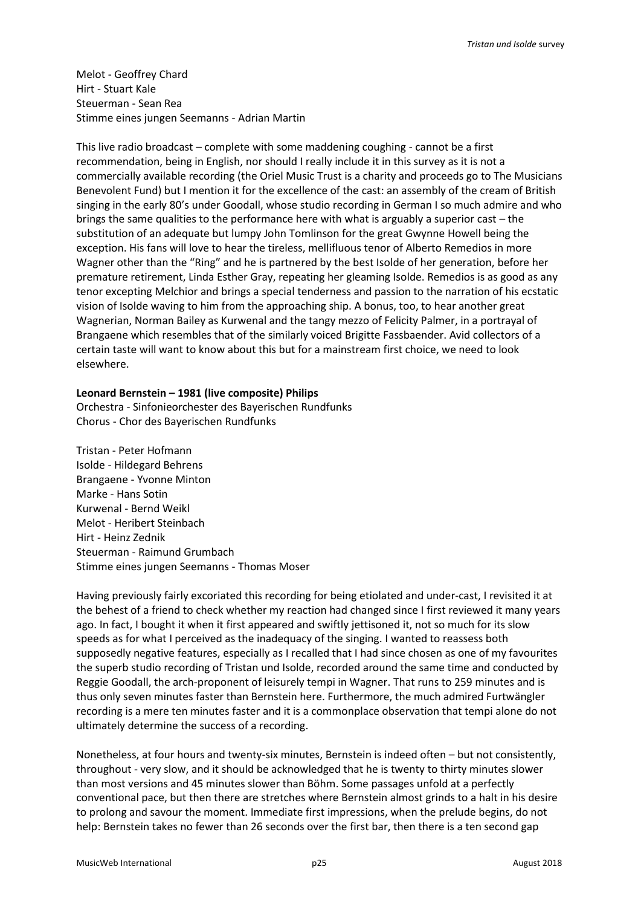Melot - Geoffrey Chard Hirt - Stuart Kale Steuerman - Sean Rea Stimme eines jungen Seemanns - Adrian Martin

This live radio broadcast – complete with some maddening coughing - cannot be a first recommendation, being in English, nor should I really include it in this survey as it is not a commercially available recording (the Oriel Music Trust is a charity and proceeds go to The Musicians Benevolent Fund) but I mention it for the excellence of the cast: an assembly of the cream of British singing in the early 80's under Goodall, whose studio recording in German I so much admire and who brings the same qualities to the performance here with what is arguably a superior cast – the substitution of an adequate but lumpy John Tomlinson for the great Gwynne Howell being the exception. His fans will love to hear the tireless, mellifluous tenor of Alberto Remedios in more Wagner other than the "Ring" and he is partnered by the best Isolde of her generation, before her premature retirement, Linda Esther Gray, repeating her gleaming Isolde. Remedios is as good as any tenor excepting Melchior and brings a special tenderness and passion to the narration of his ecstatic vision of Isolde waving to him from the approaching ship. A bonus, too, to hear another great Wagnerian, Norman Bailey as Kurwenal and the tangy mezzo of Felicity Palmer, in a portrayal of Brangaene which resembles that of the similarly voiced Brigitte Fassbaender. Avid collectors of a certain taste will want to know about this but for a mainstream first choice, we need to look elsewhere.

#### **Leonard Bernstein – 1981 (live composite) Philips**

Orchestra - Sinfonieorchester des Bayerischen Rundfunks Chorus - Chor des Bayerischen Rundfunks

Tristan - Peter Hofmann Isolde - Hildegard Behrens Brangaene - Yvonne Minton Marke - Hans Sotin Kurwenal - Bernd Weikl Melot - Heribert Steinbach Hirt - Heinz Zednik Steuerman - Raimund Grumbach Stimme eines jungen Seemanns - Thomas Moser

Having previously fairly excoriated this recording for being etiolated and under-cast, I revisited it at the behest of a friend to check whether my reaction had changed since I first reviewed it many years ago. In fact, I bought it when it first appeared and swiftly jettisoned it, not so much for its slow speeds as for what I perceived as the inadequacy of the singing. I wanted to reassess both supposedly negative features, especially as I recalled that I had since chosen as one of my favourites the superb studio recording of Tristan und Isolde, recorded around the same time and conducted by Reggie Goodall, the arch-proponent of leisurely tempi in Wagner. That runs to 259 minutes and is thus only seven minutes faster than Bernstein here. Furthermore, the much admired Furtwängler recording is a mere ten minutes faster and it is a commonplace observation that tempi alone do not ultimately determine the success of a recording.

Nonetheless, at four hours and twenty-six minutes, Bernstein is indeed often – but not consistently, throughout - very slow, and it should be acknowledged that he is twenty to thirty minutes slower than most versions and 45 minutes slower than Böhm. Some passages unfold at a perfectly conventional pace, but then there are stretches where Bernstein almost grinds to a halt in his desire to prolong and savour the moment. Immediate first impressions, when the prelude begins, do not help: Bernstein takes no fewer than 26 seconds over the first bar, then there is a ten second gap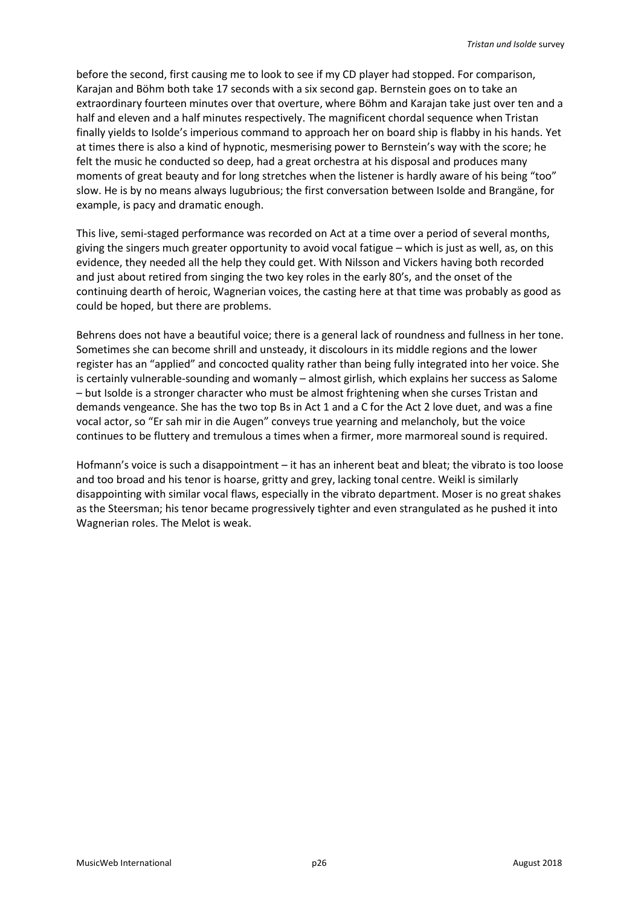before the second, first causing me to look to see if my CD player had stopped. For comparison, Karajan and Böhm both take 17 seconds with a six second gap. Bernstein goes on to take an extraordinary fourteen minutes over that overture, where Böhm and Karajan take just over ten and a half and eleven and a half minutes respectively. The magnificent chordal sequence when Tristan finally yields to Isolde's imperious command to approach her on board ship is flabby in his hands. Yet at times there is also a kind of hypnotic, mesmerising power to Bernstein's way with the score; he felt the music he conducted so deep, had a great orchestra at his disposal and produces many moments of great beauty and for long stretches when the listener is hardly aware of his being "too" slow. He is by no means always lugubrious; the first conversation between Isolde and Brangäne, for example, is pacy and dramatic enough.

This live, semi-staged performance was recorded on Act at a time over a period of several months, giving the singers much greater opportunity to avoid vocal fatigue – which is just as well, as, on this evidence, they needed all the help they could get. With Nilsson and Vickers having both recorded and just about retired from singing the two key roles in the early 80's, and the onset of the continuing dearth of heroic, Wagnerian voices, the casting here at that time was probably as good as could be hoped, but there are problems.

Behrens does not have a beautiful voice; there is a general lack of roundness and fullness in her tone. Sometimes she can become shrill and unsteady, it discolours in its middle regions and the lower register has an "applied" and concocted quality rather than being fully integrated into her voice. She is certainly vulnerable-sounding and womanly – almost girlish, which explains her success as Salome – but Isolde is a stronger character who must be almost frightening when she curses Tristan and demands vengeance. She has the two top Bs in Act 1 and a C for the Act 2 love duet, and was a fine vocal actor, so "Er sah mir in die Augen" conveys true yearning and melancholy, but the voice continues to be fluttery and tremulous a times when a firmer, more marmoreal sound is required.

Hofmann's voice is such a disappointment – it has an inherent beat and bleat; the vibrato is too loose and too broad and his tenor is hoarse, gritty and grey, lacking tonal centre. Weikl is similarly disappointing with similar vocal flaws, especially in the vibrato department. Moser is no great shakes as the Steersman; his tenor became progressively tighter and even strangulated as he pushed it into Wagnerian roles. The Melot is weak.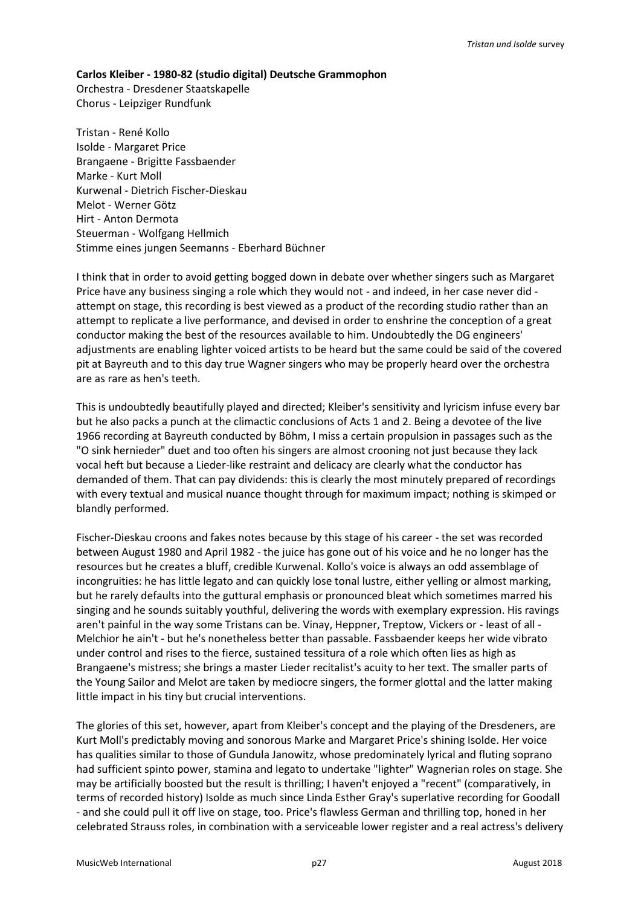## **Carlos Kleiber - 1980-82 (studio digital) Deutsche Grammophon**

Orchestra - Dresdener Staatskapelle Chorus - Leipziger Rundfunk

Tristan - René Kollo Isolde - Margaret Price Brangaene - Brigitte Fassbaender Marke - Kurt Moll Kurwenal - Dietrich Fischer-Dieskau Melot - Werner Götz Hirt - Anton Dermota Steuerman - Wolfgang Hellmich Stimme eines jungen Seemanns - Eberhard Büchner

I think that in order to avoid getting bogged down in debate over whether singers such as Margaret Price have any business singing a role which they would not - and indeed, in her case never did attempt on stage, this recording is best viewed as a product of the recording studio rather than an attempt to replicate a live performance, and devised in order to enshrine the conception of a great conductor making the best of the resources available to him. Undoubtedly the DG engineers' adjustments are enabling lighter voiced artists to be heard but the same could be said of the covered pit at Bayreuth and to this day true Wagner singers who may be properly heard over the orchestra are as rare as hen's teeth.

This is undoubtedly beautifully played and directed; Kleiber's sensitivity and lyricism infuse every bar but he also packs a punch at the climactic conclusions of Acts 1 and 2. Being a devotee of the live 1966 recording at Bayreuth conducted by Böhm, I miss a certain propulsion in passages such as the "O sink hernieder" duet and too often his singers are almost crooning not just because they lack vocal heft but because a Lieder-like restraint and delicacy are clearly what the conductor has demanded of them. That can pay dividends: this is clearly the most minutely prepared of recordings with every textual and musical nuance thought through for maximum impact; nothing is skimped or blandly performed.

Fischer-Dieskau croons and fakes notes because by this stage of his career - the set was recorded between August 1980 and April 1982 - the juice has gone out of his voice and he no longer has the resources but he creates a bluff, credible Kurwenal. Kollo's voice is always an odd assemblage of incongruities: he has little legato and can quickly lose tonal lustre, either yelling or almost marking, but he rarely defaults into the guttural emphasis or pronounced bleat which sometimes marred his singing and he sounds suitably youthful, delivering the words with exemplary expression. His ravings aren't painful in the way some Tristans can be. Vinay, Heppner, Treptow, Vickers or - least of all - Melchior he ain't - but he's nonetheless better than passable. Fassbaender keeps her wide vibrato under control and rises to the fierce, sustained tessitura of a role which often lies as high as Brangaene's mistress; she brings a master Lieder recitalist's acuity to her text. The smaller parts of the Young Sailor and Melot are taken by mediocre singers, the former glottal and the latter making little impact in his tiny but crucial interventions.

The glories of this set, however, apart from Kleiber's concept and the playing of the Dresdeners, are Kurt Moll's predictably moving and sonorous Marke and Margaret Price's shining Isolde. Her voice has qualities similar to those of Gundula Janowitz, whose predominately lyrical and fluting soprano had sufficient spinto power, stamina and legato to undertake "lighter" Wagnerian roles on stage. She may be artificially boosted but the result is thrilling; I haven't enjoyed a "recent" (comparatively, in terms of recorded history) Isolde as much since Linda Esther Gray's superlative recording for Goodall - and she could pull it off live on stage, too. Price's flawless German and thrilling top, honed in her celebrated Strauss roles, in combination with a serviceable lower register and a real actress's delivery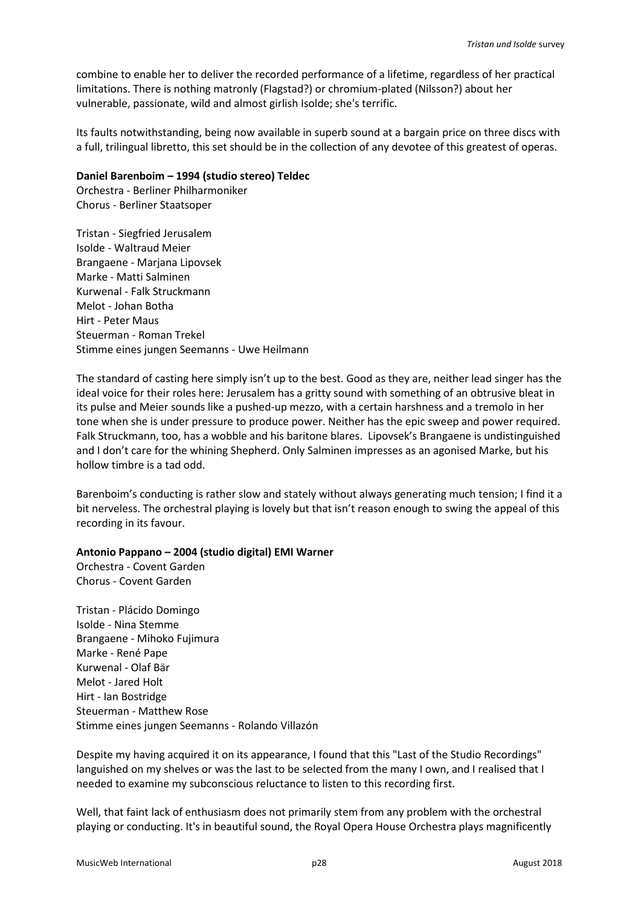combine to enable her to deliver the recorded performance of a lifetime, regardless of her practical limitations. There is nothing matronly (Flagstad?) or chromium-plated (Nilsson?) about her vulnerable, passionate, wild and almost girlish Isolde; she's terrific.

Its faults notwithstanding, being now available in superb sound at a bargain price on three discs with a full, trilingual libretto, this set should be in the collection of any devotee of this greatest of operas.

#### **Daniel Barenboim – 1994 (studio stereo) Teldec**

Orchestra - Berliner Philharmoniker Chorus - Berliner Staatsoper

Tristan - Siegfried Jerusalem Isolde - Waltraud Meier Brangaene - Marjana Lipovsek Marke - Matti Salminen Kurwenal - Falk Struckmann Melot - Johan Botha Hirt - Peter Maus Steuerman - Roman Trekel Stimme eines jungen Seemanns - Uwe Heilmann

The standard of casting here simply isn't up to the best. Good as they are, neither lead singer has the ideal voice for their roles here: Jerusalem has a gritty sound with something of an obtrusive bleat in its pulse and Meier sounds like a pushed-up mezzo, with a certain harshness and a tremolo in her tone when she is under pressure to produce power. Neither has the epic sweep and power required. Falk Struckmann, too, has a wobble and his baritone blares. Lipovsek's Brangaene is undistinguished and I don't care for the whining Shepherd. Only Salminen impresses as an agonised Marke, but his hollow timbre is a tad odd.

Barenboim's conducting is rather slow and stately without always generating much tension; I find it a bit nerveless. The orchestral playing is lovely but that isn't reason enough to swing the appeal of this recording in its favour.

## **Antonio Pappano – 2004 (studio digital) EMI Warner**

Orchestra - Covent Garden Chorus - Covent Garden

Tristan - Plácido Domingo Isolde - Nina Stemme Brangaene - Mihoko Fujimura Marke - René Pape Kurwenal - Olaf Bär Melot - Jared Holt Hirt - Ian Bostridge Steuerman - Matthew Rose Stimme eines jungen Seemanns - Rolando Villazón

Despite my having acquired it on its appearance, I found that this "Last of the Studio Recordings" languished on my shelves or was the last to be selected from the many I own, and I realised that I needed to examine my subconscious reluctance to listen to this recording first.

Well, that faint lack of enthusiasm does not primarily stem from any problem with the orchestral playing or conducting. It's in beautiful sound, the Royal Opera House Orchestra plays magnificently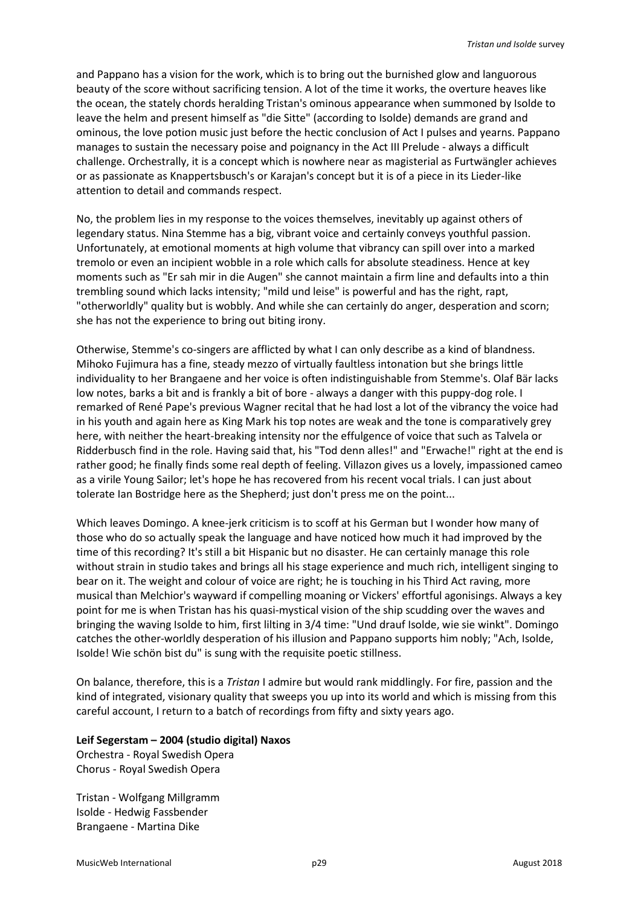and Pappano has a vision for the work, which is to bring out the burnished glow and languorous beauty of the score without sacrificing tension. A lot of the time it works, the overture heaves like the ocean, the stately chords heralding Tristan's ominous appearance when summoned by Isolde to leave the helm and present himself as "die Sitte" (according to Isolde) demands are grand and ominous, the love potion music just before the hectic conclusion of Act I pulses and yearns. Pappano manages to sustain the necessary poise and poignancy in the Act III Prelude - always a difficult challenge. Orchestrally, it is a concept which is nowhere near as magisterial as Furtwängler achieves or as passionate as Knappertsbusch's or Karajan's concept but it is of a piece in its Lieder-like attention to detail and commands respect.

No, the problem lies in my response to the voices themselves, inevitably up against others of legendary status. Nina Stemme has a big, vibrant voice and certainly conveys youthful passion. Unfortunately, at emotional moments at high volume that vibrancy can spill over into a marked tremolo or even an incipient wobble in a role which calls for absolute steadiness. Hence at key moments such as "Er sah mir in die Augen" she cannot maintain a firm line and defaults into a thin trembling sound which lacks intensity; "mild und leise" is powerful and has the right, rapt, "otherworldly" quality but is wobbly. And while she can certainly do anger, desperation and scorn; she has not the experience to bring out biting irony.

Otherwise, Stemme's co-singers are afflicted by what I can only describe as a kind of blandness. Mihoko Fujimura has a fine, steady mezzo of virtually faultless intonation but she brings little individuality to her Brangaene and her voice is often indistinguishable from Stemme's. Olaf Bär lacks low notes, barks a bit and is frankly a bit of bore - always a danger with this puppy-dog role. I remarked of René Pape's previous Wagner recital that he had lost a lot of the vibrancy the voice had in his youth and again here as King Mark his top notes are weak and the tone is comparatively grey here, with neither the heart-breaking intensity nor the effulgence of voice that such as Talvela or Ridderbusch find in the role. Having said that, his "Tod denn alles!" and "Erwache!" right at the end is rather good; he finally finds some real depth of feeling. Villazon gives us a lovely, impassioned cameo as a virile Young Sailor; let's hope he has recovered from his recent vocal trials. I can just about tolerate Ian Bostridge here as the Shepherd; just don't press me on the point...

Which leaves Domingo. A knee-jerk criticism is to scoff at his German but I wonder how many of those who do so actually speak the language and have noticed how much it had improved by the time of this recording? It's still a bit Hispanic but no disaster. He can certainly manage this role without strain in studio takes and brings all his stage experience and much rich, intelligent singing to bear on it. The weight and colour of voice are right; he is touching in his Third Act raving, more musical than Melchior's wayward if compelling moaning or Vickers' effortful agonisings. Always a key point for me is when Tristan has his quasi-mystical vision of the ship scudding over the waves and bringing the waving Isolde to him, first lilting in 3/4 time: "Und drauf Isolde, wie sie winkt". Domingo catches the other-worldly desperation of his illusion and Pappano supports him nobly; "Ach, Isolde, Isolde! Wie schön bist du" is sung with the requisite poetic stillness.

On balance, therefore, this is a *Tristan* I admire but would rank middlingly. For fire, passion and the kind of integrated, visionary quality that sweeps you up into its world and which is missing from this careful account, I return to a batch of recordings from fifty and sixty years ago.

## **Leif Segerstam – 2004 (studio digital) Naxos**

Orchestra - Royal Swedish Opera Chorus - Royal Swedish Opera

Tristan - Wolfgang Millgramm Isolde - Hedwig Fassbender Brangaene - Martina Dike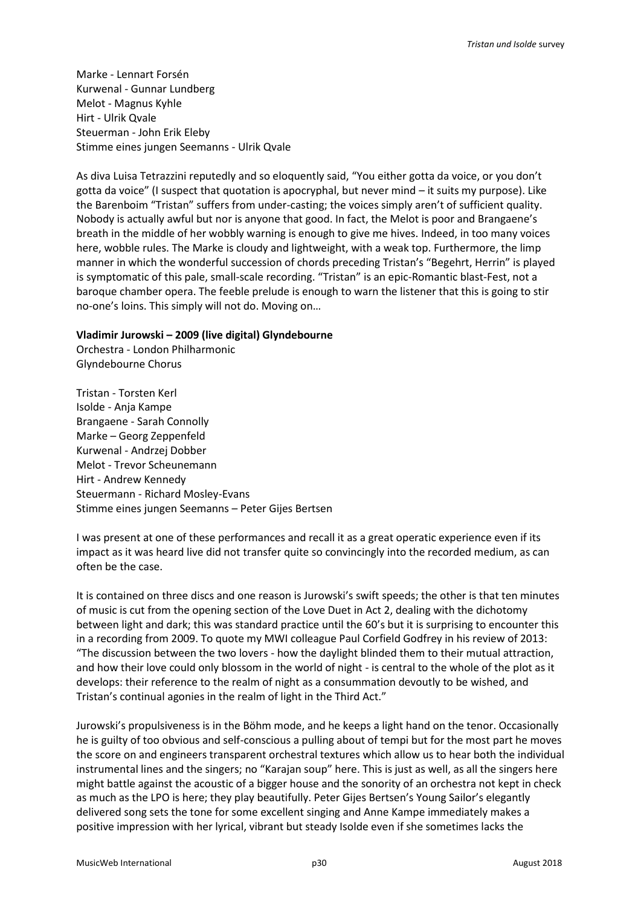Marke - Lennart Forsén Kurwenal - Gunnar Lundberg Melot - Magnus Kyhle Hirt - Ulrik Qvale Steuerman - John Erik Eleby Stimme eines jungen Seemanns - Ulrik Qvale

As diva Luisa Tetrazzini reputedly and so eloquently said, "You either gotta da voice, or you don't gotta da voice" (I suspect that quotation is apocryphal, but never mind – it suits my purpose). Like the Barenboim "Tristan" suffers from under-casting; the voices simply aren't of sufficient quality. Nobody is actually awful but nor is anyone that good. In fact, the Melot is poor and Brangaene's breath in the middle of her wobbly warning is enough to give me hives. Indeed, in too many voices here, wobble rules. The Marke is cloudy and lightweight, with a weak top. Furthermore, the limp manner in which the wonderful succession of chords preceding Tristan's "Begehrt, Herrin" is played is symptomatic of this pale, small-scale recording. "Tristan" is an epic-Romantic blast-Fest, not a baroque chamber opera. The feeble prelude is enough to warn the listener that this is going to stir no-one's loins. This simply will not do. Moving on…

#### **Vladimir Jurowski – 2009 (live digital) Glyndebourne**

Orchestra - London Philharmonic Glyndebourne Chorus

Tristan - Torsten Kerl Isolde - Anja Kampe Brangaene - Sarah Connolly Marke – Georg Zeppenfeld Kurwenal - Andrzej Dobber Melot - Trevor Scheunemann Hirt - Andrew Kennedy Steuermann - Richard Mosley-Evans Stimme eines jungen Seemanns – Peter Gijes Bertsen

I was present at one of these performances and recall it as a great operatic experience even if its impact as it was heard live did not transfer quite so convincingly into the recorded medium, as can often be the case.

It is contained on three discs and one reason is Jurowski's swift speeds; the other is that ten minutes of music is cut from the opening section of the Love Duet in Act 2, dealing with the dichotomy between light and dark; this was standard practice until the 60's but it is surprising to encounter this in a recording from 2009. To quote my MWI colleague Paul Corfield Godfrey in his review of 2013: "The discussion between the two lovers - how the daylight blinded them to their mutual attraction, and how their love could only blossom in the world of night - is central to the whole of the plot as it develops: their reference to the realm of night as a consummation devoutly to be wished, and Tristan's continual agonies in the realm of light in the Third Act."

Jurowski's propulsiveness is in the Böhm mode, and he keeps a light hand on the tenor. Occasionally he is guilty of too obvious and self-conscious a pulling about of tempi but for the most part he moves the score on and engineers transparent orchestral textures which allow us to hear both the individual instrumental lines and the singers; no "Karajan soup" here. This is just as well, as all the singers here might battle against the acoustic of a bigger house and the sonority of an orchestra not kept in check as much as the LPO is here; they play beautifully. Peter Gijes Bertsen's Young Sailor's elegantly delivered song sets the tone for some excellent singing and Anne Kampe immediately makes a positive impression with her lyrical, vibrant but steady Isolde even if she sometimes lacks the